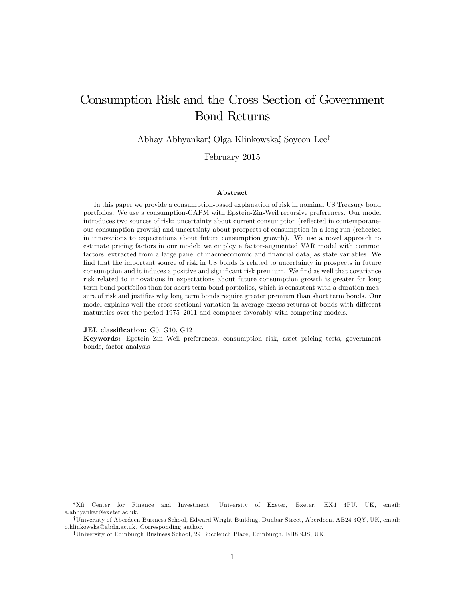# Consumption Risk and the Cross-Section of Government Bond Returns

Abhay Abhyankar,\* Olga Klinkowska,† Soyeon Lee<sup>‡</sup>

February 2015

#### Abstract

In this paper we provide a consumption-based explanation of risk in nominal US Treasury bond portfolios. We use a consumption-CAPM with Epstein-Zin-Weil recursive preferences. Our model introduces two sources of risk: uncertainty about current consumption (reflected in contemporaneous consumption growth) and uncertainty about prospects of consumption in a long run (reflected in innovations to expectations about future consumption growth). We use a novel approach to estimate pricing factors in our model: we employ a factor-augmented VAR model with common factors, extracted from a large panel of macroeconomic and financial data, as state variables. We find that the important source of risk in US bonds is related to uncertainty in prospects in future consumption and it induces a positive and significant risk premium. We find as well that covariance risk related to innovations in expectations about future consumption growth is greater for long term bond portfolios than for short term bond portfolios, which is consistent with a duration measure of risk and justifies why long term bonds require greater premium than short term bonds. Our model explains well the cross-sectional variation in average excess returns of bonds with different maturities over the period 1975–2011 and compares favorably with competing models.

JEL classification: G0, G10, G12

Keywords: Epstein–Zin–Weil preferences, consumption risk, asset pricing tests, government bonds, factor analysis

XÖ Center for Finance and Investment, University of Exeter, Exeter, EX4 4PU, UK, email: a.abhyankar@exeter.ac.uk.

<sup>&</sup>lt;sup>†</sup>University of Aberdeen Business School, Edward Wright Building, Dunbar Street, Aberdeen, AB24 3QY, UK, email: o.klinkowska@abdn.ac.uk. Corresponding author.

<sup>&</sup>lt;sup>‡</sup>University of Edinburgh Business School, 29 Buccleuch Place, Edinburgh, EH8 9JS, UK.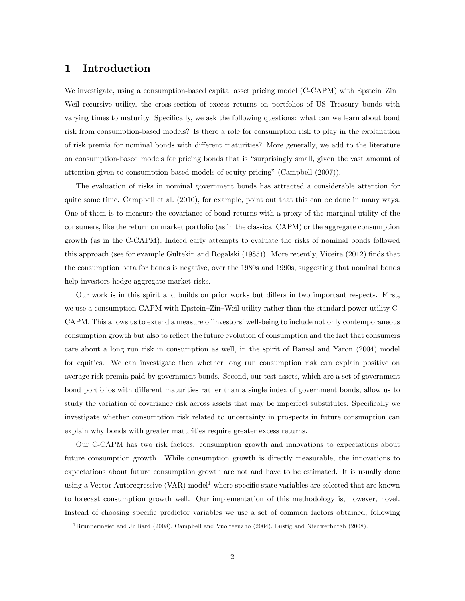## 1 Introduction

We investigate, using a consumption-based capital asset pricing model (C-CAPM) with Epstein–Zin– Weil recursive utility, the cross-section of excess returns on portfolios of US Treasury bonds with varying times to maturity. Specifically, we ask the following questions: what can we learn about bond risk from consumption-based models? Is there a role for consumption risk to play in the explanation of risk premia for nominal bonds with different maturities? More generally, we add to the literature on consumption-based models for pricing bonds that is "surprisingly small, given the vast amount of attention given to consumption-based models of equity pricingî (Campbell (2007)).

The evaluation of risks in nominal government bonds has attracted a considerable attention for quite some time. Campbell et al. (2010), for example, point out that this can be done in many ways. One of them is to measure the covariance of bond returns with a proxy of the marginal utility of the consumers, like the return on market portfolio (as in the classical CAPM) or the aggregate consumption growth (as in the C-CAPM). Indeed early attempts to evaluate the risks of nominal bonds followed this approach (see for example Gultekin and Rogalski (1985)). More recently, Viceira (2012) finds that the consumption beta for bonds is negative, over the 1980s and 1990s, suggesting that nominal bonds help investors hedge aggregate market risks.

Our work is in this spirit and builds on prior works but differs in two important respects. First, we use a consumption CAPM with Epstein–Zin–Weil utility rather than the standard power utility C-CAPM. This allows us to extend a measure of investors' well-being to include not only contemporaneous consumption growth but also to reflect the future evolution of consumption and the fact that consumers care about a long run risk in consumption as well, in the spirit of Bansal and Yaron (2004) model for equities. We can investigate then whether long run consumption risk can explain positive on average risk premia paid by government bonds. Second, our test assets, which are a set of government bond portfolios with different maturities rather than a single index of government bonds, allow us to study the variation of covariance risk across assets that may be imperfect substitutes. Specifically we investigate whether consumption risk related to uncertainty in prospects in future consumption can explain why bonds with greater maturities require greater excess returns.

Our C-CAPM has two risk factors: consumption growth and innovations to expectations about future consumption growth. While consumption growth is directly measurable, the innovations to expectations about future consumption growth are not and have to be estimated. It is usually done using a Vector Autoregressive (VAR) model<sup>1</sup> where specific state variables are selected that are known to forecast consumption growth well. Our implementation of this methodology is, however, novel. Instead of choosing specific predictor variables we use a set of common factors obtained, following

<sup>1</sup> Brunnermeier and Julliard (2008), Campbell and Vuolteenaho (2004), Lustig and Nieuwerburgh (2008).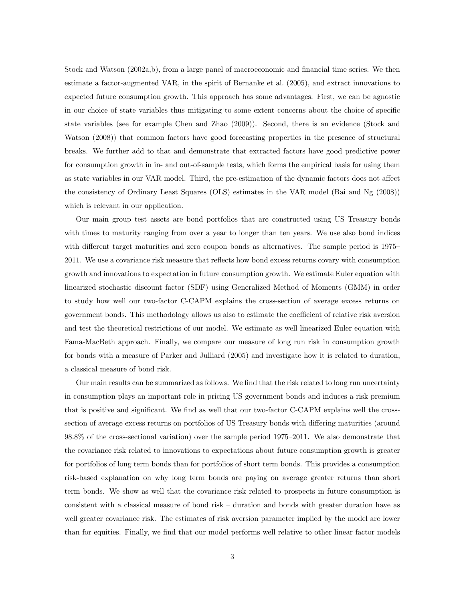Stock and Watson  $(2002a,b)$ , from a large panel of macroeconomic and financial time series. We then estimate a factor-augmented VAR, in the spirit of Bernanke et al. (2005), and extract innovations to expected future consumption growth. This approach has some advantages. First, we can be agnostic in our choice of state variables thus mitigating to some extent concerns about the choice of specific state variables (see for example Chen and Zhao (2009)). Second, there is an evidence (Stock and Watson (2008)) that common factors have good forecasting properties in the presence of structural breaks. We further add to that and demonstrate that extracted factors have good predictive power for consumption growth in in- and out-of-sample tests, which forms the empirical basis for using them as state variables in our VAR model. Third, the pre-estimation of the dynamic factors does not affect the consistency of Ordinary Least Squares (OLS) estimates in the VAR model (Bai and Ng (2008)) which is relevant in our application.

Our main group test assets are bond portfolios that are constructed using US Treasury bonds with times to maturity ranging from over a year to longer than ten years. We use also bond indices with different target maturities and zero coupon bonds as alternatives. The sample period is 1975– 2011. We use a covariance risk measure that reflects how bond excess returns covary with consumption growth and innovations to expectation in future consumption growth. We estimate Euler equation with linearized stochastic discount factor (SDF) using Generalized Method of Moments (GMM) in order to study how well our two-factor C-CAPM explains the cross-section of average excess returns on government bonds. This methodology allows us also to estimate the coefficient of relative risk aversion and test the theoretical restrictions of our model. We estimate as well linearized Euler equation with Fama-MacBeth approach. Finally, we compare our measure of long run risk in consumption growth for bonds with a measure of Parker and Julliard (2005) and investigate how it is related to duration, a classical measure of bond risk.

Our main results can be summarized as follows. We find that the risk related to long run uncertainty in consumption plays an important role in pricing US government bonds and induces a risk premium that is positive and significant. We find as well that our two-factor C-CAPM explains well the crosssection of average excess returns on portfolios of US Treasury bonds with differing maturities (around  $98.8\%$  of the cross-sectional variation) over the sample period  $1975-2011$ . We also demonstrate that the covariance risk related to innovations to expectations about future consumption growth is greater for portfolios of long term bonds than for portfolios of short term bonds. This provides a consumption risk-based explanation on why long term bonds are paying on average greater returns than short term bonds. We show as well that the covariance risk related to prospects in future consumption is consistent with a classical measure of bond risk  $-$  duration and bonds with greater duration have as well greater covariance risk. The estimates of risk aversion parameter implied by the model are lower than for equities. Finally, we find that our model performs well relative to other linear factor models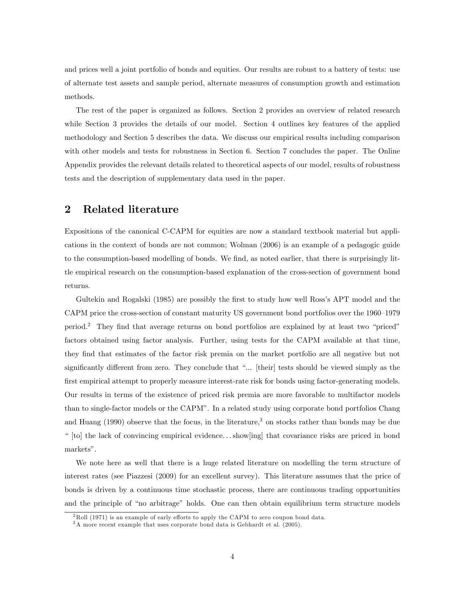and prices well a joint portfolio of bonds and equities. Our results are robust to a battery of tests: use of alternate test assets and sample period, alternate measures of consumption growth and estimation methods.

The rest of the paper is organized as follows. Section 2 provides an overview of related research while Section 3 provides the details of our model. Section 4 outlines key features of the applied methodology and Section 5 describes the data. We discuss our empirical results including comparison with other models and tests for robustness in Section 6. Section 7 concludes the paper. The Online Appendix provides the relevant details related to theoretical aspects of our model, results of robustness tests and the description of supplementary data used in the paper.

## 2 Related literature

Expositions of the canonical C-CAPM for equities are now a standard textbook material but applications in the context of bonds are not common; Wolman (2006) is an example of a pedagogic guide to the consumption-based modelling of bonds. We find, as noted earlier, that there is surprisingly little empirical research on the consumption-based explanation of the cross-section of government bond returns.

Gultekin and Rogalski (1985) are possibly the first to study how well Ross's APT model and the CAPM price the cross-section of constant maturity US government bond portfolios over the 1960–1979 period.<sup>2</sup> They find that average returns on bond portfolios are explained by at least two "priced" factors obtained using factor analysis. Further, using tests for the CAPM available at that time, they Önd that estimates of the factor risk premia on the market portfolio are all negative but not significantly different from zero. They conclude that "... [their] tests should be viewed simply as the first empirical attempt to properly measure interest-rate risk for bonds using factor-generating models. Our results in terms of the existence of priced risk premia are more favorable to multifactor models than to single-factor models or the CAPMî. In a related study using corporate bond portfolios Chang and Huang (1990) observe that the focus, in the literature,<sup>3</sup> on stocks rather than bonds may be due ì [to] the lack of convincing empirical evidence. . . show[ing] that covariance risks are priced in bond markets".

We note here as well that there is a huge related literature on modelling the term structure of interest rates (see Piazzesi (2009) for an excellent survey). This literature assumes that the price of bonds is driven by a continuous time stochastic process, there are continuous trading opportunities and the principle of "no arbitrage" holds. One can then obtain equilibrium term structure models

 $^{2}$ Roll (1971) is an example of early efforts to apply the CAPM to zero coupon bond data.

<sup>3</sup>A more recent example that uses corporate bond data is Gebhardt et al. (2005).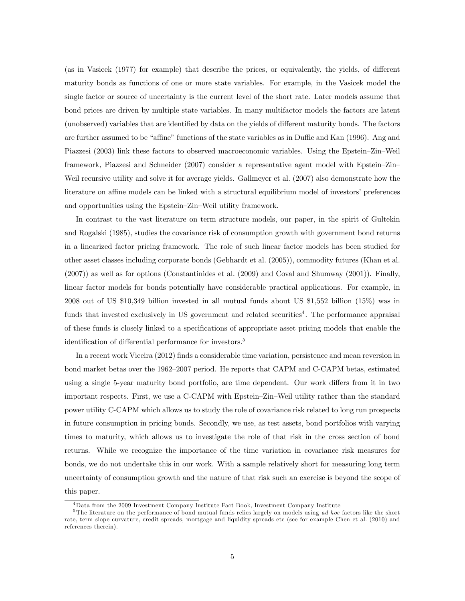(as in Vasicek  $(1977)$  for example) that describe the prices, or equivalently, the yields, of different maturity bonds as functions of one or more state variables. For example, in the Vasicek model the single factor or source of uncertainty is the current level of the short rate. Later models assume that bond prices are driven by multiple state variables. In many multifactor models the factors are latent (unobserved) variables that are identified by data on the yields of different maturity bonds. The factors are further assumed to be "affine" functions of the state variables as in Duffie and Kan (1996). Ang and Piazzesi (2003) link these factors to observed macroeconomic variables. Using the Epstein–Zin–Weil framework, Piazzesi and Schneider (2007) consider a representative agent model with Epstein–Zin– Weil recursive utility and solve it for average yields. Gallmeyer et al. (2007) also demonstrate how the literature on affine models can be linked with a structural equilibrium model of investors' preferences and opportunities using the Epstein–Zin–Weil utility framework.

In contrast to the vast literature on term structure models, our paper, in the spirit of Gultekin and Rogalski (1985), studies the covariance risk of consumption growth with government bond returns in a linearized factor pricing framework. The role of such linear factor models has been studied for other asset classes including corporate bonds (Gebhardt et al. (2005)), commodity futures (Khan et al. (2007)) as well as for options (Constantinides et al. (2009) and Coval and Shumway (2001)). Finally, linear factor models for bonds potentially have considerable practical applications. For example, in 2008 out of US \$10,349 billion invested in all mutual funds about US \$1,552 billion (15%) was in funds that invested exclusively in US government and related securities<sup>4</sup>. The performance appraisal of these funds is closely linked to a specifications of appropriate asset pricing models that enable the identification of differential performance for investors.<sup>5</sup>

In a recent work Viceira (2012) Önds a considerable time variation, persistence and mean reversion in bond market betas over the 1962–2007 period. He reports that CAPM and C-CAPM betas, estimated using a single 5-year maturity bond portfolio, are time dependent. Our work differs from it in two important respects. First, we use a C-CAPM with Epstein–Zin–Weil utility rather than the standard power utility C-CAPM which allows us to study the role of covariance risk related to long run prospects in future consumption in pricing bonds. Secondly, we use, as test assets, bond portfolios with varying times to maturity, which allows us to investigate the role of that risk in the cross section of bond returns. While we recognize the importance of the time variation in covariance risk measures for bonds, we do not undertake this in our work. With a sample relatively short for measuring long term uncertainty of consumption growth and the nature of that risk such an exercise is beyond the scope of this paper.

<sup>4</sup>Data from the 2009 Investment Company Institute Fact Book, Investment Company Institute

 $5$ The literature on the performance of bond mutual funds relies largely on models using ad hoc factors like the short rate, term slope curvature, credit spreads, mortgage and liquidity spreads etc (see for example Chen et al. (2010) and references therein).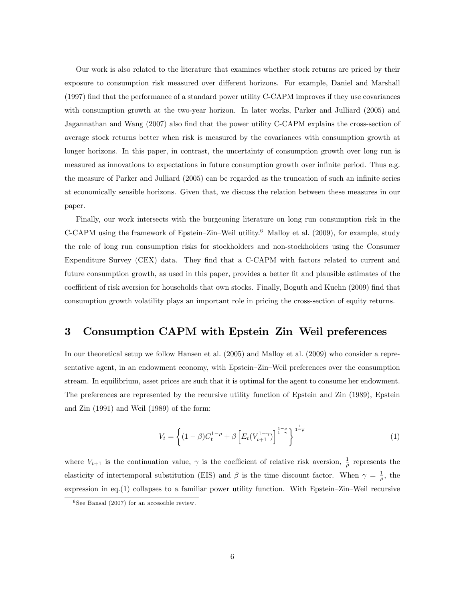Our work is also related to the literature that examines whether stock returns are priced by their exposure to consumption risk measured over different horizons. For example, Daniel and Marshall (1997) Önd that the performance of a standard power utility C-CAPM improves if they use covariances with consumption growth at the two-year horizon. In later works, Parker and Julliard (2005) and Jagannathan and Wang (2007) also find that the power utility C-CAPM explains the cross-section of average stock returns better when risk is measured by the covariances with consumption growth at longer horizons. In this paper, in contrast, the uncertainty of consumption growth over long run is measured as innovations to expectations in future consumption growth over infinite period. Thus e.g. the measure of Parker and Julliard (2005) can be regarded as the truncation of such an infinite series at economically sensible horizons. Given that, we discuss the relation between these measures in our paper.

Finally, our work intersects with the burgeoning literature on long run consumption risk in the C-CAPM using the framework of Epstein–Zin–Weil utility.<sup>6</sup> Malloy et al. (2009), for example, study the role of long run consumption risks for stockholders and non-stockholders using the Consumer Expenditure Survey (CEX) data. They find that a C-CAPM with factors related to current and future consumption growth, as used in this paper, provides a better fit and plausible estimates of the coefficient of risk aversion for households that own stocks. Finally, Boguth and Kuehn (2009) find that consumption growth volatility plays an important role in pricing the cross-section of equity returns.

# 3 Consumption CAPM with Epstein–Zin–Weil preferences

In our theoretical setup we follow Hansen et al. (2005) and Malloy et al. (2009) who consider a representative agent, in an endowment economy, with Epstein–Zin–Weil preferences over the consumption stream. In equilibrium, asset prices are such that it is optimal for the agent to consume her endowment. The preferences are represented by the recursive utility function of Epstein and Zin (1989), Epstein and Zin (1991) and Weil (1989) of the form:

$$
V_t = \left\{ (1 - \beta) C_t^{1 - \rho} + \beta \left[ E_t (V_{t+1}^{1 - \gamma}) \right]^{\frac{1 - \rho}{1 - \gamma}} \right\}^{\frac{1 - \rho}{1 - \rho}}
$$
(1)

where  $V_{t+1}$  is the continuation value,  $\gamma$  is the coefficient of relative risk aversion,  $\frac{1}{\rho}$  represents the elasticity of intertemporal substitution (EIS) and  $\beta$  is the time discount factor. When  $\gamma = \frac{1}{\rho}$ , the expression in eq.(1) collapses to a familiar power utility function. With Epstein–Zin–Weil recursive

 $6$  See Bansal (2007) for an accessible review.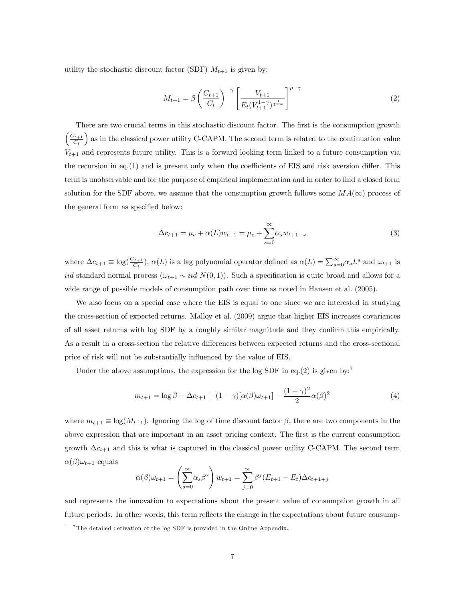utility the stochastic discount factor (SDF)  $M_{t+1}$  is given by:

$$
M_{t+1} = \beta \left(\frac{C_{t+1}}{C_t}\right)^{-\gamma} \left[\frac{V_{t+1}}{E_t (V_{t+1}^{1-\gamma})^{\frac{1}{1-\gamma}}}\right]^{\rho-\gamma}
$$
(2)

There are two crucial terms in this stochastic discount factor. The first is the consumption growth  $\int C_{t+1}$  $C_t$  as in the classical power utility C-CAPM. The second term is related to the continuation value  $V_{t+1}$  and represents future utility. This is a forward looking term linked to a future consumption via the recursion in eq. $(1)$  and is present only when the coefficients of EIS and risk aversion differ. This term is unobservable and for the purpose of empirical implementation and in order to find a closed form solution for the SDF above, we assume that the consumption growth follows some  $MA(\infty)$  process of the general form as specified below:

$$
\Delta c_{t+1} = \mu_c + \alpha(L)w_{t+1} = \mu_c + \sum_{s=0}^{\infty} \alpha_s w_{t+1-s}
$$
\n(3)

where  $\Delta c_{t+1} \equiv \log(\frac{C_{t+1}}{C_t}), \alpha(L)$  is a lag polynomial operator defined as  $\alpha(L) = \sum_{s=0}^{\infty} \alpha_s L^s$  and  $\omega_{t+1}$  is iid standard normal process  $(\omega_{t+1} \sim \text{iid } N(0, 1))$ . Such a specification is quite broad and allows for a wide range of possible models of consumption path over time as noted in Hansen et al. (2005).

We also focus on a special case where the EIS is equal to one since we are interested in studying the cross-section of expected returns. Malloy et al. (2009) argue that higher EIS increases covariances of all asset returns with log SDF by a roughly similar magnitude and they confirm this empirically. As a result in a cross-section the relative differences between expected returns and the cross-sectional price of risk will not be substantially influenced by the value of EIS.

Under the above assumptions, the expression for the log SDF in eq.(2) is given by:<sup>7</sup>

$$
m_{t+1} = \log \beta - \Delta c_{t+1} + (1 - \gamma)[\alpha(\beta)\omega_{t+1}] - \frac{(1 - \gamma)^2}{2}\alpha(\beta)^2
$$
\n(4)

where  $m_{t+1} \equiv \log(M_{t+1})$ . Ignoring the log of time discount factor  $\beta$ , there are two components in the above expression that are important in an asset pricing context. The first is the current consumption growth  $\Delta c_{t+1}$  and this is what is captured in the classical power utility C-CAPM. The second term  $\alpha(\beta)\omega_{t+1}$  equals

$$
\alpha(\beta)\omega_{t+1} = \left(\sum_{s=0}^{\infty} \alpha_s \beta^s\right) w_{t+1} = \sum_{j=0}^{\infty} \beta^j (E_{t+1} - E_t) \Delta c_{t+1+j}
$$

and represents the innovation to expectations about the present value of consumption growth in all future periods. In other words, this term reflects the change in the expectations about future consump-

<sup>7</sup> The detailed derivation of the log SDF is provided in the Online Appendix.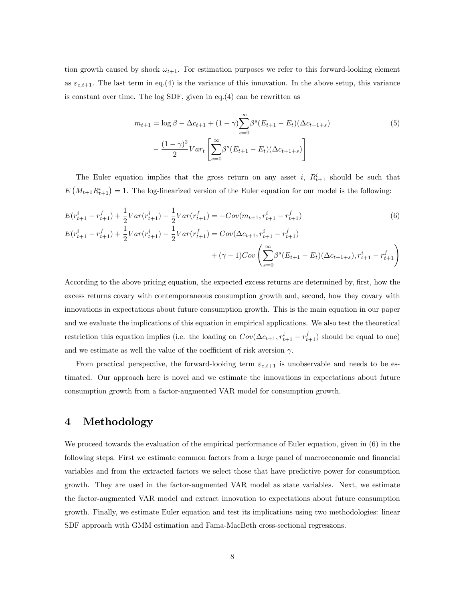tion growth caused by shock  $\omega_{t+1}$ . For estimation purposes we refer to this forward-looking element as  $\varepsilon_{c,t+1}$ . The last term in eq.(4) is the variance of this innovation. In the above setup, this variance is constant over time. The log SDF, given in eq.(4) can be rewritten as

$$
m_{t+1} = \log \beta - \Delta c_{t+1} + (1 - \gamma) \sum_{s=0}^{\infty} \beta^s (E_{t+1} - E_t) (\Delta c_{t+1+s})
$$
\n
$$
- \frac{(1 - \gamma)^2}{2} Var_t \left[ \sum_{s=0}^{\infty} \beta^s (E_{t+1} - E_t) (\Delta c_{t+1+s}) \right]
$$
\n(5)

The Euler equation implies that the gross return on any asset i,  $R_{t+1}^i$  should be such that  $E\left(M_{t+1}R_{t+1}^{i}\right)=1$ . The log-linearized version of the Euler equation for our model is the following:

$$
E(r_{t+1}^{i} - r_{t+1}^{f}) + \frac{1}{2}Var(r_{t+1}^{i}) - \frac{1}{2}Var(r_{t+1}^{f}) = -Cov(m_{t+1}, r_{t+1}^{i} - r_{t+1}^{f})
$$
(6)  

$$
E(r_{t+1}^{i} - r_{t+1}^{f}) + \frac{1}{2}Var(r_{t+1}^{i}) - \frac{1}{2}Var(r_{t+1}^{f}) = Cov(\Delta c_{t+1}, r_{t+1}^{i} - r_{t+1}^{f})
$$

$$
+ (\gamma - 1)Cov\left(\sum_{s=0}^{\infty} \beta^{s}(E_{t+1} - E_{t})(\Delta c_{t+1+s}), r_{t+1}^{i} - r_{t+1}^{f}\right)
$$

According to the above pricing equation, the expected excess returns are determined by, first, how the excess returns covary with contemporaneous consumption growth and, second, how they covary with innovations in expectations about future consumption growth. This is the main equation in our paper and we evaluate the implications of this equation in empirical applications. We also test the theoretical restriction this equation implies (i.e. the loading on  $Cov(\Delta c_{t+1}, r_{t+1}^i - r_{t+1}^f)$  should be equal to one) and we estimate as well the value of the coefficient of risk aversion  $\gamma$ .

From practical perspective, the forward-looking term  $\varepsilon_{c,t+1}$  is unobservable and needs to be estimated. Our approach here is novel and we estimate the innovations in expectations about future consumption growth from a factor-augmented VAR model for consumption growth.

## 4 Methodology

We proceed towards the evaluation of the empirical performance of Euler equation, given in (6) in the following steps. First we estimate common factors from a large panel of macroeconomic and financial variables and from the extracted factors we select those that have predictive power for consumption growth. They are used in the factor-augmented VAR model as state variables. Next, we estimate the factor-augmented VAR model and extract innovation to expectations about future consumption growth. Finally, we estimate Euler equation and test its implications using two methodologies: linear SDF approach with GMM estimation and Fama-MacBeth cross-sectional regressions.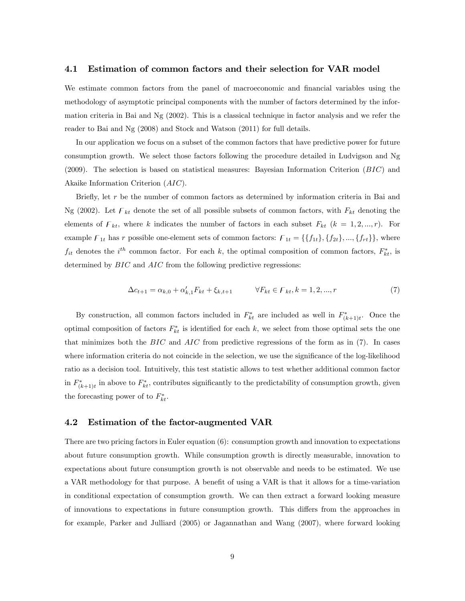#### 4.1 Estimation of common factors and their selection for VAR model

We estimate common factors from the panel of macroeconomic and financial variables using the methodology of asymptotic principal components with the number of factors determined by the information criteria in Bai and Ng (2002). This is a classical technique in factor analysis and we refer the reader to Bai and Ng (2008) and Stock and Watson (2011) for full details.

In our application we focus on a subset of the common factors that have predictive power for future consumption growth. We select those factors following the procedure detailed in Ludvigson and Ng  $(2009)$ . The selection is based on statistical measures: Bayesian Information Criterion  $(BIC)$  and Akaike Information Criterion (AIC).

Briefly, let  $r$  be the number of common factors as determined by information criteria in Bai and Ng (2002). Let  $F_{kt}$  denote the set of all possible subsets of common factors, with  $F_{kt}$  denoting the elements of  $F_{kt}$ , where k indicates the number of factors in each subset  $F_{kt}$   $(k = 1, 2, ..., r)$ . For example  $F_{1t}$  has r possible one-element sets of common factors:  $F_{1t} = \{\{f_{1t}\}, \{f_{2t}\}, ..., \{f_{rt}\}\}\$ , where  $f_{it}$  denotes the  $i^{th}$  common factor. For each k, the optimal composition of common factors,  $F_{kt}^*$ , is determined by  $BIC$  and  $AIC$  from the following predictive regressions:

$$
\Delta c_{t+1} = \alpha_{k,0} + \alpha'_{k,1} F_{kt} + \xi_{k,t+1} \qquad \forall F_{kt} \in F_{kt}, k = 1, 2, ..., r
$$
 (7)

By construction, all common factors included in  $F_{kt}^*$  are included as well in  $F_{(k+1)t}^*$ . Once the optimal composition of factors  $F_{kt}^*$  is identified for each k, we select from those optimal sets the one that minimizes both the  $BIC$  and  $AIC$  from predictive regressions of the form as in (7). In cases where information criteria do not coincide in the selection, we use the significance of the log-likelihood ratio as a decision tool. Intuitively, this test statistic allows to test whether additional common factor in  $F_{(k+1)t}^*$  in above to  $F_{kt}^*$ , contributes significantly to the predictability of consumption growth, given the forecasting power of to  $F_{kt}^*$ .

## 4.2 Estimation of the factor-augmented VAR

There are two pricing factors in Euler equation (6): consumption growth and innovation to expectations about future consumption growth. While consumption growth is directly measurable, innovation to expectations about future consumption growth is not observable and needs to be estimated. We use a VAR methodology for that purpose. A benefit of using a VAR is that it allows for a time-variation in conditional expectation of consumption growth. We can then extract a forward looking measure of innovations to expectations in future consumption growth. This differs from the approaches in for example, Parker and Julliard (2005) or Jagannathan and Wang (2007), where forward looking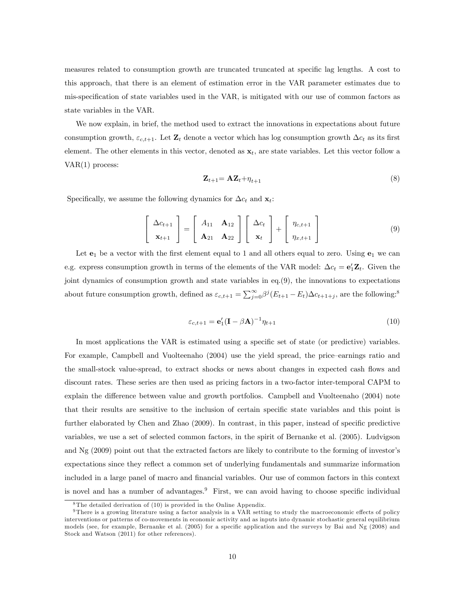measures related to consumption growth are truncated truncated at specific lag lengths. A cost to this approach, that there is an element of estimation error in the VAR parameter estimates due to mis-specification of state variables used in the VAR, is mitigated with our use of common factors as state variables in the VAR.

We now explain, in brief, the method used to extract the innovations in expectations about future consumption growth,  $\varepsilon_{c,t+1}$ . Let  $\mathbf{Z}_t$  denote a vector which has log consumption growth  $\Delta c_t$  as its first element. The other elements in this vector, denoted as  $x_t$ , are state variables. Let this vector follow a VAR(1) process:

$$
\mathbf{Z}_{t+1} = \mathbf{A}\mathbf{Z}_t + \eta_{t+1} \tag{8}
$$

Specifically, we assume the following dynamics for  $\Delta c_t$  and  $\mathbf{x}_t$ :

$$
\left[\begin{array}{c}\Delta c_{t+1} \\ \mathbf{x}_{t+1}\end{array}\right] = \left[\begin{array}{cc}A_{11} & \mathbf{A}_{12} \\ \mathbf{A}_{21} & \mathbf{A}_{22}\end{array}\right] \left[\begin{array}{c}\Delta c_t \\ \mathbf{x}_t\end{array}\right] + \left[\begin{array}{c}\eta_{c,t+1} \\ \eta_{x,t+1}\end{array}\right]
$$
(9)

Let  $e_1$  be a vector with the first element equal to 1 and all others equal to zero. Using  $e_1$  we can e.g. express consumption growth in terms of the elements of the VAR model:  $\Delta c_t = e'_1 \mathbf{Z}_t$ . Given the joint dynamics of consumption growth and state variables in eq.(9), the innovations to expectations about future consumption growth, defined as  $\varepsilon_{c,t+1} = \sum_{j=0}^{\infty} \beta^j (E_{t+1} - E_t) \Delta c_{t+1+j}$ , are the following:<sup>8</sup>

$$
\varepsilon_{c,t+1} = \mathbf{e}'_1 (\mathbf{I} - \beta \mathbf{A})^{-1} \eta_{t+1}
$$
\n(10)

In most applications the VAR is estimated using a specific set of state (or predictive) variables. For example, Campbell and Vuolteenaho (2004) use the yield spread, the price–earnings ratio and the small-stock value-spread, to extract shocks or news about changes in expected cash flows and discount rates. These series are then used as pricing factors in a two-factor inter-temporal CAPM to explain the difference between value and growth portfolios. Campbell and Vuolteenaho (2004) note that their results are sensitive to the inclusion of certain specific state variables and this point is further elaborated by Chen and Zhao (2009). In contrast, in this paper, instead of specific predictive variables, we use a set of selected common factors, in the spirit of Bernanke et al. (2005). Ludvigson and Ng (2009) point out that the extracted factors are likely to contribute to the forming of investor's expectations since they reflect a common set of underlying fundamentals and summarize information included in a large panel of macro and financial variables. Our use of common factors in this context is novel and has a number of advantages. $9$  First, we can avoid having to choose specific individual

<sup>&</sup>lt;sup>8</sup>The detailed derivation of  $(10)$  is provided in the Online Appendix.

 $9$ There is a growing literature using a factor analysis in a VAR setting to study the macroeconomic effects of policy interventions or patterns of co-movements in economic activity and as inputs into dynamic stochastic general equilibrium models (see, for example, Bernanke et al. (2005) for a specific application and the surveys by Bai and Ng (2008) and Stock and Watson (2011) for other references).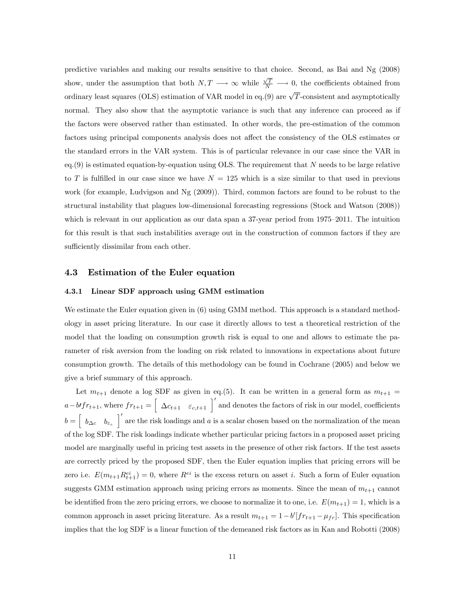predictive variables and making our results sensitive to that choice. Second, as Bai and Ng (2008) show, under the assumption that both  $N, T \longrightarrow \infty$  while  $\frac{\sqrt{T}}{N} \longrightarrow 0$ , the coefficients obtained from ordinary least squares (OLS) estimation of VAR model in eq.(9) are  $\sqrt{T}$ -consistent and asymptotically normal. They also show that the asymptotic variance is such that any inference can proceed as if the factors were observed rather than estimated. In other words, the pre-estimation of the common factors using principal components analysis does not affect the consistency of the OLS estimates or the standard errors in the VAR system. This is of particular relevance in our case since the VAR in eq.(9) is estimated equation-by-equation using OLS. The requirement that  $N$  needs to be large relative to T is fulfilled in our case since we have  $N = 125$  which is a size similar to that used in previous work (for example, Ludvigson and Ng (2009)). Third, common factors are found to be robust to the structural instability that plagues low-dimensional forecasting regressions (Stock and Watson (2008)) which is relevant in our application as our data span a  $37$ -year period from 1975–2011. The intuition for this result is that such instabilities average out in the construction of common factors if they are sufficiently dissimilar from each other.

### 4.3 Estimation of the Euler equation

#### 4.3.1 Linear SDF approach using GMM estimation

We estimate the Euler equation given in  $(6)$  using GMM method. This approach is a standard methodology in asset pricing literature. In our case it directly allows to test a theoretical restriction of the model that the loading on consumption growth risk is equal to one and allows to estimate the parameter of risk aversion from the loading on risk related to innovations in expectations about future consumption growth. The details of this methodology can be found in Cochrane (2005) and below we give a brief summary of this approach.

Let  $m_{t+1}$  denote a log SDF as given in eq.(5). It can be written in a general form as  $m_{t+1}$  =  $a-bt$ <sub> $t_{t+1}$ </sub>, where  $fr_{t+1} = \begin{bmatrix} \Delta c_{t+1} & \varepsilon_{c,t+1} \end{bmatrix}'$  and denotes the factors of risk in our model, coefficients  $b = \begin{bmatrix} b_{\Delta c} & b_{\varepsilon_c} \end{bmatrix}'$  are the risk loadings and a is a scalar chosen based on the normalization of the mean of the log SDF. The risk loadings indicate whether particular pricing factors in a proposed asset pricing model are marginally useful in pricing test assets in the presence of other risk factors. If the test assets are correctly priced by the proposed SDF, then the Euler equation implies that pricing errors will be zero i.e.  $E(m_{t+1}R_{t+1}^{ei})=0$ , where  $R^{ei}$  is the excess return on asset i. Such a form of Euler equation suggests GMM estimation approach using pricing errors as moments. Since the mean of  $m_{t+1}$  cannot be identified from the zero pricing errors, we choose to normalize it to one, i.e.  $E(m_{t+1}) = 1$ , which is a common approach in asset pricing literature. As a result  $m_{t+1} = 1 - b'[fr_{t+1} - \mu_{fr}]$ . This specification implies that the log SDF is a linear function of the demeaned risk factors as in Kan and Robotti (2008)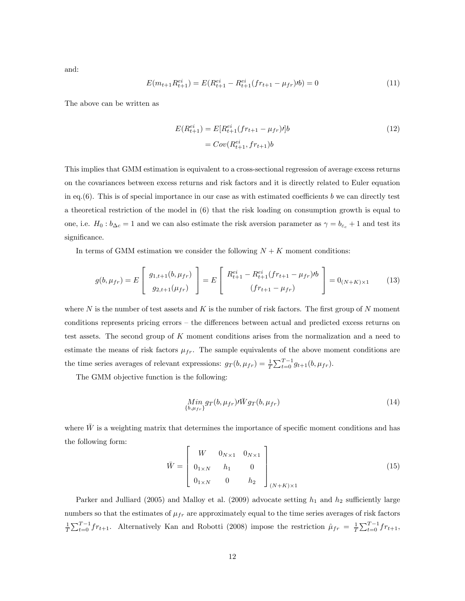and:

$$
E(m_{t+1}R_{t+1}^{ei}) = E(R_{t+1}^{ei} - R_{t+1}^{ei}(fr_{t+1} - \mu_{fr})b) = 0
$$
\n(11)

The above can be written as

$$
E(R_{t+1}^{ei}) = E[R_{t+1}^{ei}(fr_{t+1} - \mu_{fr})t]b
$$
  
=  $Cov(R_{t+1}^{ei}, fr_{t+1})b$  (12)

This implies that GMM estimation is equivalent to a cross-sectional regression of average excess returns on the covariances between excess returns and risk factors and it is directly related to Euler equation in eq. $(6)$ . This is of special importance in our case as with estimated coefficients b we can directly test a theoretical restriction of the model in (6) that the risk loading on consumption growth is equal to one, i.e.  $H_0: b_{\Delta c} = 1$  and we can also estimate the risk aversion parameter as  $\gamma = b_{\varepsilon_c} + 1$  and test its significance.

In terms of GMM estimation we consider the following  $N + K$  moment conditions:

$$
g(b,\mu_{fr}) = E\left[\begin{array}{c} g_{1,t+1}(b,\mu_{fr}) \\ g_{2,t+1}(\mu_{fr}) \end{array}\right] = E\left[\begin{array}{c} R_{t+1}^{ei} - R_{t+1}^{ei}(fr_{t+1} - \mu_{fr})/b \\ (fr_{t+1} - \mu_{fr}) \end{array}\right] = 0_{(N+K)\times 1}
$$
(13)

where N is the number of test assets and K is the number of risk factors. The first group of N moment conditions represents pricing errors  $-$  the differences between actual and predicted excess returns on test assets. The second group of K moment conditions arises from the normalization and a need to estimate the means of risk factors  $\mu_{fr}$ . The sample equivalents of the above moment conditions are the time series averages of relevant expressions:  $g_T(b, \mu_{fr}) = \frac{1}{T} \sum_{t=0}^{T-1} g_{t+1}(b, \mu_{fr}).$ 

The GMM objective function is the following:

$$
\underset{\{b,\mu_{fr}\}}{\text{Min}} g_T(b,\mu_{fr}) \cdot \bar{W} g_T(b,\mu_{fr}) \tag{14}
$$

where  $\bar{W}$  is a weighting matrix that determines the importance of specific moment conditions and has the following form:

$$
\bar{W} = \begin{bmatrix} W & 0_{N \times 1} & 0_{N \times 1} \\ 0_{1 \times N} & h_1 & 0 \\ 0_{1 \times N} & 0 & h_2 \end{bmatrix}_{(N+K) \times 1}
$$
\n(15)

Parker and Julliard (2005) and Malloy et al. (2009) advocate setting  $h_1$  and  $h_2$  sufficiently large numbers so that the estimates of  $\mu_{fr}$  are approximately equal to the time series averages of risk factors  $\frac{1}{T}\sum_{t=0}^{T-1} fr_{t+1}$ . Alternatively Kan and Robotti (2008) impose the restriction  $\hat{\mu}_{fr} = \frac{1}{T}\sum_{t=0}^{T-1} fr_{t+1}$ ,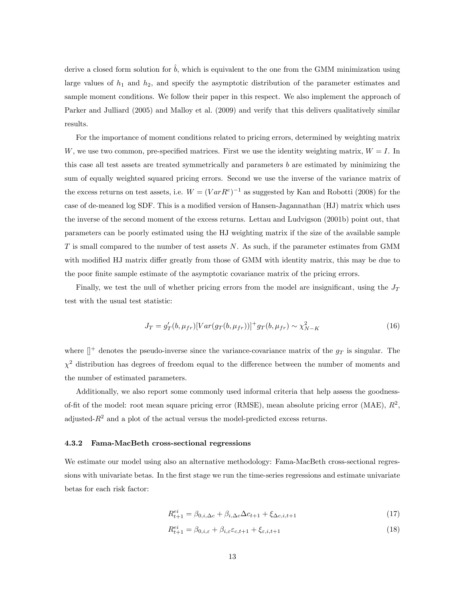derive a closed form solution for  $\hat{b}$ , which is equivalent to the one from the GMM minimization using large values of  $h_1$  and  $h_2$ , and specify the asymptotic distribution of the parameter estimates and sample moment conditions. We follow their paper in this respect. We also implement the approach of Parker and Julliard (2005) and Malloy et al. (2009) and verify that this delivers qualitatively similar results.

For the importance of moment conditions related to pricing errors, determined by weighting matrix W, we use two common, pre-specified matrices. First we use the identity weighting matrix,  $W = I$ . In this case all test assets are treated symmetrically and parameters  $b$  are estimated by minimizing the sum of equally weighted squared pricing errors. Second we use the inverse of the variance matrix of the excess returns on test assets, i.e.  $W = (Var R^e)^{-1}$  as suggested by Kan and Robotti (2008) for the case of de-meaned log SDF. This is a modified version of Hansen-Jagannathan (HJ) matrix which uses the inverse of the second moment of the excess returns. Lettau and Ludvigson (2001b) point out, that parameters can be poorly estimated using the HJ weighting matrix if the size of the available sample  $T$  is small compared to the number of test assets  $N$ . As such, if the parameter estimates from GMM with modified HJ matrix differ greatly from those of GMM with identity matrix, this may be due to the poor finite sample estimate of the asymptotic covariance matrix of the pricing errors.

Finally, we test the null of whether pricing errors from the model are insignificant, using the  $J_T$ test with the usual test statistic:

$$
J_T = g'_T(b, \mu_{fr})[Var(g_T(b, \mu_{fr}))]^+ g_T(b, \mu_{fr}) \sim \chi^2_{N-K}
$$
\n(16)

where  $\mathcal{L}^+$  denotes the pseudo-inverse since the variance-covariance matrix of the  $g_T$  is singular. The  $\chi^2$  distribution has degrees of freedom equal to the difference between the number of moments and the number of estimated parameters.

Additionally, we also report some commonly used informal criteria that help assess the goodnessof-fit of the model: root mean square pricing error (RMSE), mean absolute pricing error (MAE),  $R^2$ , adjusted- $R^2$  and a plot of the actual versus the model-predicted excess returns.

#### 4.3.2 Fama-MacBeth cross-sectional regressions

We estimate our model using also an alternative methodology: Fama-MacBeth cross-sectional regressions with univariate betas. In the first stage we run the time-series regressions and estimate univariate betas for each risk factor:

$$
R_{t+1}^{ei} = \beta_{0,i,\Delta c} + \beta_{i,\Delta c} \Delta c_{t+1} + \xi_{\Delta c,i,t+1}
$$
\n(17)

$$
R_{t+1}^{ei} = \beta_{0,i,\varepsilon} + \beta_{i,\varepsilon} \varepsilon_{c,t+1} + \xi_{\varepsilon,i,t+1}
$$
\n(18)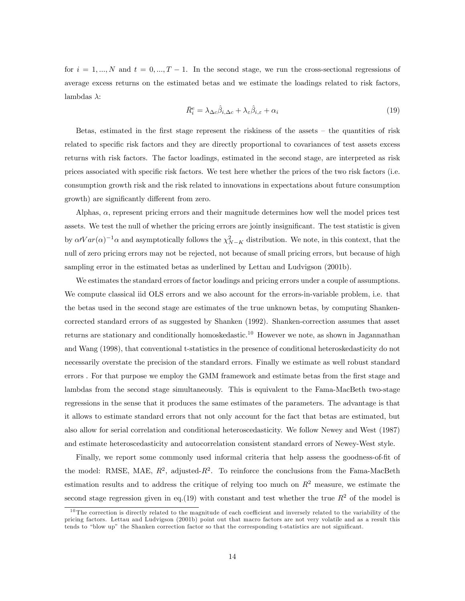for  $i = 1, ..., N$  and  $t = 0, ..., T - 1$ . In the second stage, we run the cross-sectional regressions of average excess returns on the estimated betas and we estimate the loadings related to risk factors, lambdas  $\lambda$ :

$$
\bar{R}_i^e = \lambda_{\Delta c} \hat{\beta}_{i,\Delta c} + \lambda_{\varepsilon} \hat{\beta}_{i,\varepsilon} + \alpha_i \tag{19}
$$

Betas, estimated in the first stage represent the riskiness of the assets  $-$  the quantities of risk related to specific risk factors and they are directly proportional to covariances of test assets excess returns with risk factors. The factor loadings, estimated in the second stage, are interpreted as risk prices associated with specific risk factors. We test here whether the prices of the two risk factors (i.e. consumption growth risk and the risk related to innovations in expectations about future consumption growth) are significantly different from zero.

Alphas,  $\alpha$ , represent pricing errors and their magnitude determines how well the model prices test assets. We test the null of whether the pricing errors are jointly insignificant. The test statistic is given by  $\alpha V \alpha r(\alpha)^{-1} \alpha$  and asymptotically follows the  $\chi^2_{N-K}$  distribution. We note, in this context, that the null of zero pricing errors may not be rejected, not because of small pricing errors, but because of high sampling error in the estimated betas as underlined by Lettau and Ludvigson (2001b).

We estimates the standard errors of factor loadings and pricing errors under a couple of assumptions. We compute classical iid OLS errors and we also account for the errors-in-variable problem, i.e. that the betas used in the second stage are estimates of the true unknown betas, by computing Shankencorrected standard errors of as suggested by Shanken (1992). Shanken-correction assumes that asset returns are stationary and conditionally homoskedastic.<sup>10</sup> However we note, as shown in Jagannathan and Wang (1998), that conventional t-statistics in the presence of conditional heteroskedasticity do not necessarily overstate the precision of the standard errors. Finally we estimate as well robust standard errors. For that purpose we employ the GMM framework and estimate betas from the first stage and lambdas from the second stage simultaneously. This is equivalent to the Fama-MacBeth two-stage regressions in the sense that it produces the same estimates of the parameters. The advantage is that it allows to estimate standard errors that not only account for the fact that betas are estimated, but also allow for serial correlation and conditional heteroscedasticity. We follow Newey and West (1987) and estimate heteroscedasticity and autocorrelation consistent standard errors of Newey-West style.

Finally, we report some commonly used informal criteria that help assess the goodness-of-fit of the model: RMSE, MAE,  $R^2$ , adjusted- $R^2$ . To reinforce the conclusions from the Fama-MacBeth estimation results and to address the critique of relying too much on  $R<sup>2</sup>$  measure, we estimate the second stage regression given in eq.(19) with constant and test whether the true  $R^2$  of the model is

 $10$ The correction is directly related to the magnitude of each coefficient and inversely related to the variability of the pricing factors. Lettau and Ludvigson (2001b) point out that macro factors are not very volatile and as a result this tends to "blow up" the Shanken correction factor so that the corresponding t-statistics are not significant.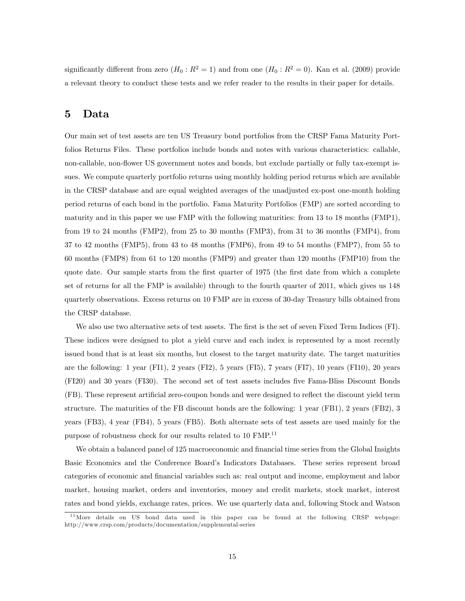significantly different from zero  $(H_0: R^2 = 1)$  and from one  $(H_0: R^2 = 0)$ . Kan et al. (2009) provide a relevant theory to conduct these tests and we refer reader to the results in their paper for details.

## 5 Data

Our main set of test assets are ten US Treasury bond portfolios from the CRSP Fama Maturity Portfolios Returns Files. These portfolios include bonds and notes with various characteristics: callable, non-callable, non-flower US government notes and bonds, but exclude partially or fully tax-exempt issues. We compute quarterly portfolio returns using monthly holding period returns which are available in the CRSP database and are equal weighted averages of the unadjusted ex-post one-month holding period returns of each bond in the portfolio. Fama Maturity Portfolios (FMP) are sorted according to maturity and in this paper we use FMP with the following maturities: from 13 to 18 months (FMP1), from 19 to 24 months (FMP2), from 25 to 30 months (FMP3), from 31 to 36 months (FMP4), from 37 to 42 months (FMP5), from 43 to 48 months (FMP6), from 49 to 54 months (FMP7), from 55 to 60 months (FMP8) from 61 to 120 months (FMP9) and greater than 120 months (FMP10) from the quote date. Our sample starts from the first quarter of 1975 (the first date from which a complete set of returns for all the FMP is available) through to the fourth quarter of 2011, which gives us 148 quarterly observations. Excess returns on 10 FMP are in excess of 30-day Treasury bills obtained from the CRSP database.

We also use two alternative sets of test assets. The first is the set of seven Fixed Term Indices (FI). These indices were designed to plot a yield curve and each index is represented by a most recently issued bond that is at least six months, but closest to the target maturity date. The target maturities are the following: 1 year (FI1), 2 years (FI2), 5 years (FI5), 7 years (FI7), 10 years (FI10), 20 years (FI20) and 30 years (FI30). The second set of test assets includes Öve Fama-Bliss Discount Bonds (FB). These represent artificial zero-coupon bonds and were designed to reflect the discount yield term structure. The maturities of the FB discount bonds are the following: 1 year (FB1), 2 years (FB2), 3 years (FB3), 4 year (FB4), 5 years (FB5). Both alternate sets of test assets are used mainly for the purpose of robustness check for our results related to 10 FMP.<sup>11</sup>

We obtain a balanced panel of 125 macroeconomic and financial time series from the Global Insights Basic Economics and the Conference Boardís Indicators Databases. These series represent broad categories of economic and Önancial variables such as: real output and income, employment and labor market, housing market, orders and inventories, money and credit markets, stock market, interest rates and bond yields, exchange rates, prices. We use quarterly data and, following Stock and Watson

<sup>&</sup>lt;sup>11</sup>More details on US bond data used in this paper can be found at the following CRSP webpage: http://www.crsp.com/products/documentation/supplemental-series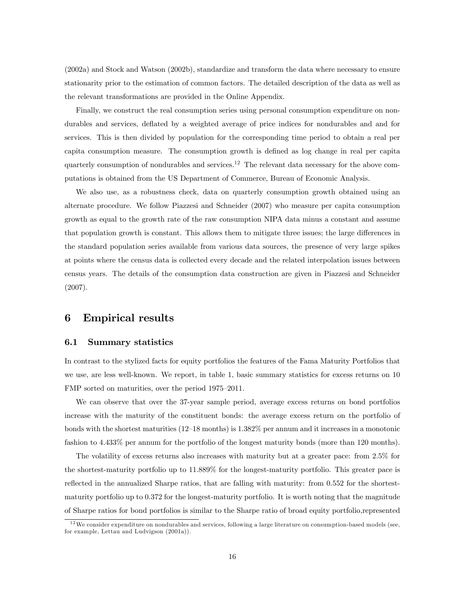(2002a) and Stock and Watson (2002b), standardize and transform the data where necessary to ensure stationarity prior to the estimation of common factors. The detailed description of the data as well as the relevant transformations are provided in the Online Appendix.

Finally, we construct the real consumption series using personal consumption expenditure on nondurables and services, deflated by a weighted average of price indices for nondurables and and for services. This is then divided by population for the corresponding time period to obtain a real per capita consumption measure. The consumption growth is defined as log change in real per capita quarterly consumption of nondurables and services.<sup>12</sup> The relevant data necessary for the above computations is obtained from the US Department of Commerce, Bureau of Economic Analysis.

We also use, as a robustness check, data on quarterly consumption growth obtained using an alternate procedure. We follow Piazzesi and Schneider (2007) who measure per capita consumption growth as equal to the growth rate of the raw consumption NIPA data minus a constant and assume that population growth is constant. This allows them to mitigate three issues; the large differences in the standard population series available from various data sources, the presence of very large spikes at points where the census data is collected every decade and the related interpolation issues between census years. The details of the consumption data construction are given in Piazzesi and Schneider (2007).

## 6 Empirical results

## 6.1 Summary statistics

In contrast to the stylized facts for equity portfolios the features of the Fama Maturity Portfolios that we use, are less well-known. We report, in table 1, basic summary statistics for excess returns on 10 FMP sorted on maturities, over the period 1975–2011.

We can observe that over the 37-year sample period, average excess returns on bond portfolios increase with the maturity of the constituent bonds: the average excess return on the portfolio of bonds with the shortest maturities  $(12-18 \text{ months})$  is  $1.382\%$  per annum and it increases in a monotonic fashion to 4.433% per annum for the portfolio of the longest maturity bonds (more than 120 months).

The volatility of excess returns also increases with maturity but at a greater pace: from 2.5% for the shortest-maturity portfolio up to 11.889% for the longest-maturity portfolio. This greater pace is reflected in the annualized Sharpe ratios, that are falling with maturity: from  $0.552$  for the shortestmaturity portfolio up to 0.372 for the longest-maturity portfolio. It is worth noting that the magnitude of Sharpe ratios for bond portfolios is similar to the Sharpe ratio of broad equity portfolio,represented

 $12$  We consider expenditure on nondurables and services, following a large literature on consumption-based models (see, for example, Lettau and Ludvigson (2001a)).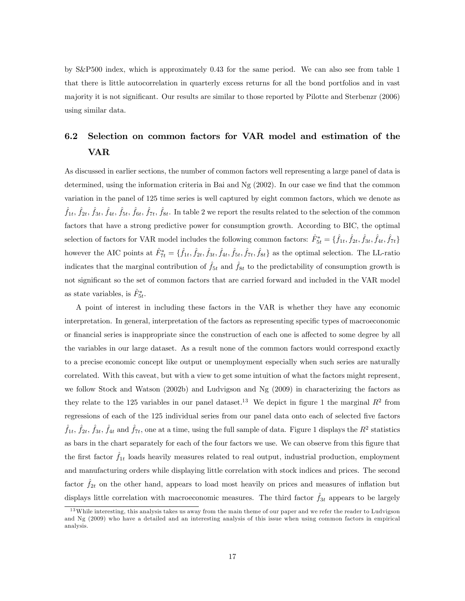by S&P500 index, which is approximately 0.43 for the same period. We can also see from table 1 that there is little autocorrelation in quarterly excess returns for all the bond portfolios and in vast majority it is not significant. Our results are similar to those reported by Pilotte and Sterbenzr (2006) using similar data.

# 6.2 Selection on common factors for VAR model and estimation of the VAR

As discussed in earlier sections, the number of common factors well representing a large panel of data is determined, using the information criteria in Bai and  $Ng(2002)$ . In our case we find that the common variation in the panel of 125 time series is well captured by eight common factors, which we denote as  $\hat{f}_{1t}, \hat{f}_{2t}, \hat{f}_{3t}, \hat{f}_{4t}, \hat{f}_{5t}, \hat{f}_{6t}, \hat{f}_{7t}, \hat{f}_{8t}$ . In table 2 we report the results related to the selection of the common factors that have a strong predictive power for consumption growth. According to BIC, the optimal selection of factors for VAR model includes the following common factors:  $\hat{F}_{5t}^* = \{\hat{f}_{1t}, \hat{f}_{2t}, \hat{f}_{3t}, \hat{f}_{4t}, \hat{f}_{7t}\}\$ however the AIC points at  $\hat{F}^*_{7t} = \{\hat{f}_{1t}, \hat{f}_{2t}, \hat{f}_{3t}, \hat{f}_{4t}, \hat{f}_{5t}, \hat{f}_{7t}, \hat{f}_{8t}\}\$ as the optimal selection. The LL-ratio indicates that the marginal contribution of  $\hat{f}_{5t}$  and  $\hat{f}_{8t}$  to the predictability of consumption growth is not significant so the set of common factors that are carried forward and included in the VAR model as state variables, is  $\hat{F}_{5t}^*$ .

A point of interest in including these factors in the VAR is whether they have any economic interpretation. In general, interpretation of the factors as representing specific types of macroeconomic or financial series is inappropriate since the construction of each one is affected to some degree by all the variables in our large dataset. As a result none of the common factors would correspond exactly to a precise economic concept like output or unemployment especially when such series are naturally correlated. With this caveat, but with a view to get some intuition of what the factors might represent, we follow Stock and Watson (2002b) and Ludvigson and Ng (2009) in characterizing the factors as they relate to the 125 variables in our panel dataset.<sup>13</sup> We depict in figure 1 the marginal  $R^2$  from regressions of each of the 125 individual series from our panel data onto each of selected five factors  $\hat{f}_{1t}, \hat{f}_{2t}, \hat{f}_{3t}, \hat{f}_{4t}$  and  $\hat{f}_{7t}$ , one at a time, using the full sample of data. Figure 1 displays the  $R^2$  statistics as bars in the chart separately for each of the four factors we use. We can observe from this figure that the first factor  $f_{1t}$  loads heavily measures related to real output, industrial production, employment and manufacturing orders while displaying little correlation with stock indices and prices. The second factor  $f_{2t}$  on the other hand, appears to load most heavily on prices and measures of inflation but displays little correlation with macroeconomic measures. The third factor  $\hat{f}_{3t}$  appears to be largely

<sup>&</sup>lt;sup>13</sup> While interesting, this analysis takes us away from the main theme of our paper and we refer the reader to Ludvigson and Ng (2009) who have a detailed and an interesting analysis of this issue when using common factors in empirical analysis.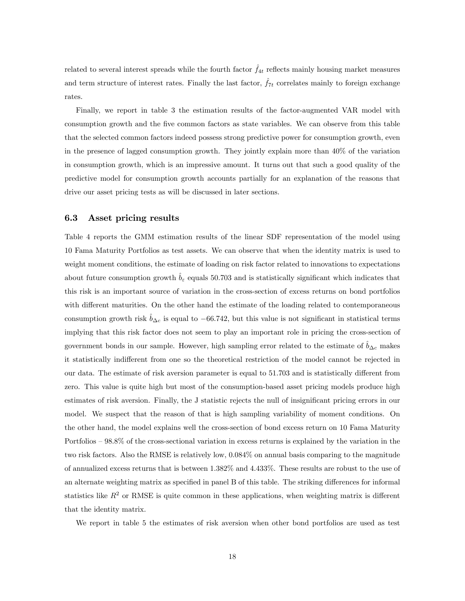related to several interest spreads while the fourth factor  $f_{4t}$  reflects mainly housing market measures and term structure of interest rates. Finally the last factor,  $\hat{f}_{7t}$  correlates mainly to foreign exchange rates.

Finally, we report in table 3 the estimation results of the factor-augmented VAR model with consumption growth and the Öve common factors as state variables. We can observe from this table that the selected common factors indeed possess strong predictive power for consumption growth, even in the presence of lagged consumption growth. They jointly explain more than 40% of the variation in consumption growth, which is an impressive amount. It turns out that such a good quality of the predictive model for consumption growth accounts partially for an explanation of the reasons that drive our asset pricing tests as will be discussed in later sections.

## 6.3 Asset pricing results

Table 4 reports the GMM estimation results of the linear SDF representation of the model using 10 Fama Maturity Portfolios as test assets. We can observe that when the identity matrix is used to weight moment conditions, the estimate of loading on risk factor related to innovations to expectations about future consumption growth  $b_{\varepsilon}$  equals 50.703 and is statistically significant which indicates that this risk is an important source of variation in the cross-section of excess returns on bond portfolios with different maturities. On the other hand the estimate of the loading related to contemporaneous consumption growth risk  $b_{\Delta c}$  is equal to -66.742, but this value is not significant in statistical terms implying that this risk factor does not seem to play an important role in pricing the cross-section of government bonds in our sample. However, high sampling error related to the estimate of  $b_{\Delta c}$  makes it statistically indifferent from one so the theoretical restriction of the model cannot be rejected in our data. The estimate of risk aversion parameter is equal to  $51.703$  and is statistically different from zero. This value is quite high but most of the consumption-based asset pricing models produce high estimates of risk aversion. Finally, the J statistic rejects the null of insignificant pricing errors in our model. We suspect that the reason of that is high sampling variability of moment conditions. On the other hand, the model explains well the cross-section of bond excess return on 10 Fama Maturity Portfolios  $-98.8\%$  of the cross-sectional variation in excess returns is explained by the variation in the two risk factors. Also the RMSE is relatively low, 0:084% on annual basis comparing to the magnitude of annualized excess returns that is between 1:382% and 4:433%. These results are robust to the use of an alternate weighting matrix as specified in panel B of this table. The striking differences for informal statistics like  $R^2$  or RMSE is quite common in these applications, when weighting matrix is different that the identity matrix.

We report in table 5 the estimates of risk aversion when other bond portfolios are used as test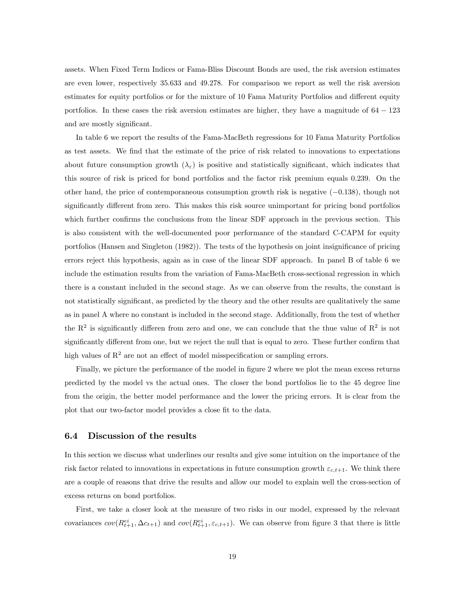assets. When Fixed Term Indices or Fama-Bliss Discount Bonds are used, the risk aversion estimates are even lower, respectively 35:633 and 49:278. For comparison we report as well the risk aversion estimates for equity portfolios or for the mixture of 10 Fama Maturity Portfolios and different equity portfolios. In these cases the risk aversion estimates are higher, they have a magnitude of  $64 - 123$ and are mostly significant.

In table 6 we report the results of the Fama-MacBeth regressions for 10 Fama Maturity Portfolios as test assets. We Önd that the estimate of the price of risk related to innovations to expectations about future consumption growth  $(\lambda_{\varepsilon})$  is positive and statistically significant, which indicates that this source of risk is priced for bond portfolios and the factor risk premium equals 0:239. On the other hand, the price of contemporaneous consumption growth risk is negative  $(-0.138)$ , though not significantly different from zero. This makes this risk source unimportant for pricing bond portfolios which further confirms the conclusions from the linear SDF approach in the previous section. This is also consistent with the well-documented poor performance of the standard C-CAPM for equity portfolios (Hansen and Singleton (1982)). The tests of the hypothesis on joint insignificance of pricing errors reject this hypothesis, again as in case of the linear SDF approach. In panel B of table 6 we include the estimation results from the variation of Fama-MacBeth cross-sectional regression in which there is a constant included in the second stage. As we can observe from the results, the constant is not statistically significant, as predicted by the theory and the other results are qualitatively the same as in panel A where no constant is included in the second stage. Additionally, from the test of whether the  $\mathbb{R}^2$  is significantly differen from zero and one, we can conclude that the thue value of  $\mathbb{R}^2$  is not significantly different from one, but we reject the null that is equal to zero. These further confirm that high values of  $\mathbb{R}^2$  are not an effect of model misspecification or sampling errors.

Finally, we picture the performance of the model in figure 2 where we plot the mean excess returns predicted by the model vs the actual ones. The closer the bond portfolios lie to the 45 degree line from the origin, the better model performance and the lower the pricing errors. It is clear from the plot that our two-factor model provides a close fit to the data.

### 6.4 Discussion of the results

In this section we discuss what underlines our results and give some intuition on the importance of the risk factor related to innovations in expectations in future consumption growth  $\varepsilon_{c,t+1}$ . We think there are a couple of reasons that drive the results and allow our model to explain well the cross-section of excess returns on bond portfolios.

First, we take a closer look at the measure of two risks in our model, expressed by the relevant covariances  $cov(R_{t+1}^{ei}, \Delta c_{t+1})$  and  $cov(R_{t+1}^{ei}, \varepsilon_{c,t+1})$ . We can observe from figure 3 that there is little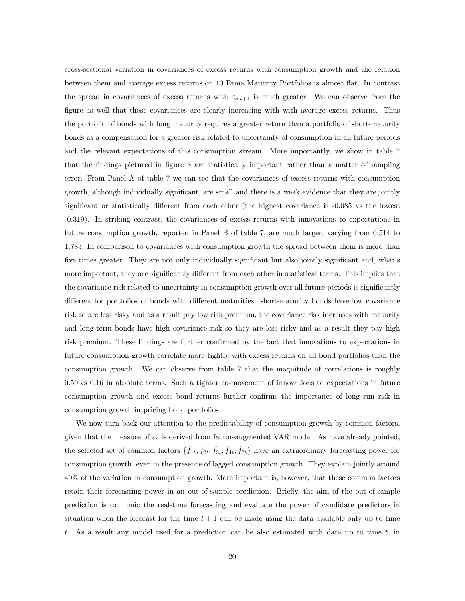cross-sectional variation in covariances of excess returns with consumption growth and the relation between them and average excess returns on 10 Fama Maturity Portfolios is almost áat. In contrast the spread in covariances of excess returns with  $\varepsilon_{c,t+1}$  is much greater. We can observe from the figure as well that these covariances are clearly increasing with with average excess returns. Thus the portfolio of bonds with long maturity requires a greater return than a portfolio of short-maturity bonds as a compensation for a greater risk related to uncertainty of consumption in all future periods and the relevant expectations of this consumption stream. More importantly, we show in table 7 that the findings pictured in figure 3 are statistically important rather than a matter of sampling error. From Panel A of table 7 we can see that the covariances of excess returns with consumption growth, although individually significant, are small and there is a weak evidence that they are jointly significant or statistically different from each other (the highest covariance is  $-0.085$  vs the lowest -0.319). In striking contrast, the covariances of excess returns with innovations to expectations in future consumption growth, reported in Panel B of table 7, are much larger, varying from 0.514 to 1.783. In comparison to covariances with consumption growth the spread between them is more than five times greater. They are not only individually significant but also jointly significant and, what's more important, they are significantly different from each other in statistical terms. This implies that the covariance risk related to uncertainty in consumption growth over all future periods is significantly different for portfolios of bonds with different maturities: short-maturity bonds have low covariance risk so are less risky and as a result pay low risk premium, the covariance risk increases with maturity and long-term bonds have high covariance risk so they are less risky and as a result they pay high risk premium. These findings are further confirmed by the fact that innovations to expectations in future consumption growth correlate more tightly with excess returns on all bond portfolios than the consumption growth. We can observe from table 7 that the magnitude of correlations is roughly 0.50.vs 0.16 in absolute terms. Such a tighter co-movement of innovations to expectations in future consumption growth and excess bond returns further confirms the importance of long run risk in consumption growth in pricing bond portfolios.

We now turn back our attention to the predictability of consumption growth by common factors, given that the measure of  $\varepsilon_c$  is derived from factor-augmented VAR model. As have already pointed, the selected set of common factors  $\{\hat{f}_{1t}, \hat{f}_{2t}, \hat{f}_{3t}, \hat{f}_{4t}, \hat{f}_{7t}\}$  have an extraordinary forecasting power for consumption growth, even in the presence of lagged consumption growth. They explain jointly around 40% of the variation in consumption growth. More important is, however, that these common factors retain their forecasting power in an out-of-sample prediction. Briefly, the aim of the out-of-sample prediction is to mimic the real-time forecasting and evaluate the power of candidate predictors in situation when the forecast for the time  $t + 1$  can be made using the data available only up to time t. As a result any model used for a prediction can be also estimated with data up to time  $t$ , in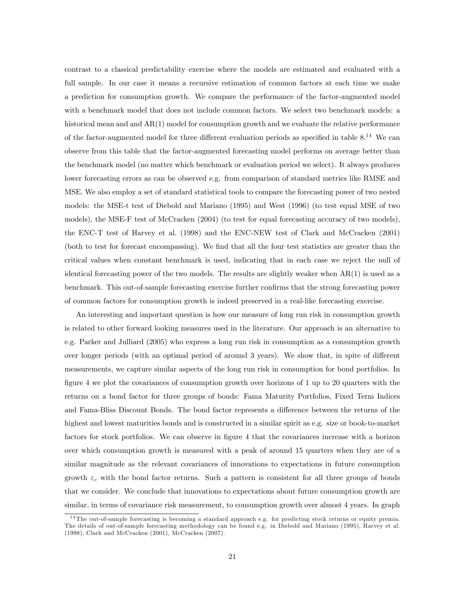contrast to a classical predictability exercise where the models are estimated and evaluated with a full sample. In our case it means a recursive estimation of common factors at each time we make a prediction for consumption growth. We compare the performance of the factor-augmented model with a benchmark model that does not include common factors. We select two benchmark models: a historical mean and and  $AR(1)$  model for consumption growth and we evaluate the relative performance of the factor-augmented model for three different evaluation periods as specified in table  $8^{14}$  We can observe from this table that the factor-augmented forecasting model performs on average better than the benchmark model (no matter which benchmark or evaluation period we select). It always produces lower forecasting errors as can be observed e.g. from comparison of standard metrics like RMSE and MSE. We also employ a set of standard statistical tools to compare the forecasting power of two nested models: the MSE-t test of Diebold and Mariano (1995) and West (1996) (to test equal MSE of two models), the MSE-F test of McCracken (2004) (to test for equal forecasting accuracy of two models), the ENC-T test of Harvey et al. (1998) and the ENC-NEW test of Clark and McCracken (2001) (both to test for forecast encompassing). We find that all the four test statistics are greater than the critical values when constant benchmark is used, indicating that in each case we reject the null of identical forecasting power of the two models. The results are slightly weaker when  $AR(1)$  is used as a benchmark. This out-of-sample forecasting exercise further confirms that the strong forecasting power of common factors for consumption growth is indeed preserved in a real-like forecasting exercise.

An interesting and important question is how our measure of long run risk in consumption growth is related to other forward looking measures used in the literature. Our approach is an alternative to e.g. Parker and Julliard (2005) who express a long run risk in consumption as a consumption growth over longer periods (with an optimal period of around 3 years). We show that, in spite of different measurements, we capture similar aspects of the long run risk in consumption for bond portfolios. In figure 4 we plot the covariances of consumption growth over horizons of 1 up to 20 quarters with the returns on a bond factor for three groups of bonds: Fama Maturity Portfolios, Fixed Term Indices and Fama-Bliss Discount Bonds. The bond factor represents a difference between the returns of the highest and lowest maturities bonds and is constructed in a similar spirit as e.g. size or book-to-market factors for stock portfolios. We can observe in figure 4 that the covariances increase with a horizon over which consumption growth is measured with a peak of around 15 quarters when they are of a similar magnitude as the relevant covariances of innovations to expectations in future consumption growth  $\varepsilon_c$  with the bond factor returns. Such a pattern is consistent for all three groups of bonds that we consider. We conclude that innovations to expectations about future consumption growth are similar, in terms of covariance risk measurement, to consumption growth over almost 4 years. In graph

 $14$ The out-of-sample forecasting is becoming a standard approach e.g. for predicting stock returns or equity premia. The details of out-of-sample forecasting methodology can be found e.g. in Diebold and Mariano (1995), Harvey et al. (1998), Clark and McCracken (2001), McCracken (2007).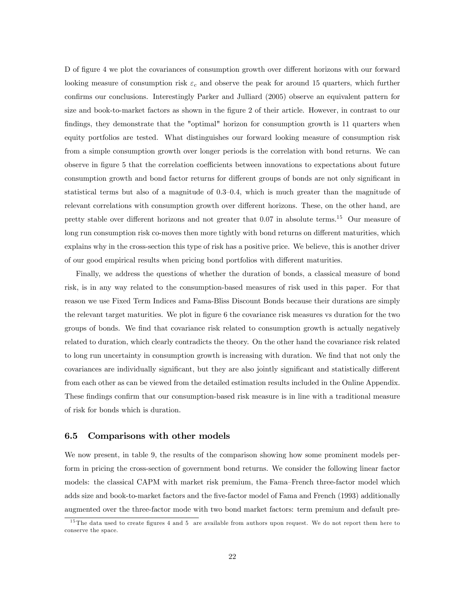D of figure 4 we plot the covariances of consumption growth over different horizons with our forward looking measure of consumption risk  $\varepsilon_c$  and observe the peak for around 15 quarters, which further confirms our conclusions. Interestingly Parker and Julliard (2005) observe an equivalent pattern for size and book-to-market factors as shown in the figure 2 of their article. However, in contrast to our findings, they demonstrate that the "optimal" horizon for consumption growth is 11 quarters when equity portfolios are tested. What distinguishes our forward looking measure of consumption risk from a simple consumption growth over longer periods is the correlation with bond returns. We can observe in figure 5 that the correlation coefficients between innovations to expectations about future consumption growth and bond factor returns for different groups of bonds are not only significant in statistical terms but also of a magnitude of  $0.3-0.4$ , which is much greater than the magnitude of relevant correlations with consumption growth over different horizons. These, on the other hand, are pretty stable over different horizons and not greater that 0.07 in absolute terms.<sup>15</sup> Our measure of long run consumption risk co-moves then more tightly with bond returns on different maturities, which explains why in the cross-section this type of risk has a positive price. We believe, this is another driver of our good empirical results when pricing bond portfolios with different maturities.

Finally, we address the questions of whether the duration of bonds, a classical measure of bond risk, is in any way related to the consumption-based measures of risk used in this paper. For that reason we use Fixed Term Indices and Fama-Bliss Discount Bonds because their durations are simply the relevant target maturities. We plot in figure 6 the covariance risk measures vs duration for the two groups of bonds. We find that covariance risk related to consumption growth is actually negatively related to duration, which clearly contradicts the theory. On the other hand the covariance risk related to long run uncertainty in consumption growth is increasing with duration. We find that not only the covariances are individually significant, but they are also jointly significant and statistically different from each other as can be viewed from the detailed estimation results included in the Online Appendix. These findings confirm that our consumption-based risk measure is in line with a traditional measure of risk for bonds which is duration.

## 6.5 Comparisons with other models

We now present, in table 9, the results of the comparison showing how some prominent models perform in pricing the cross-section of government bond returns. We consider the following linear factor models: the classical CAPM with market risk premium, the Fama–French three-factor model which adds size and book-to-market factors and the five-factor model of Fama and French (1993) additionally augmented over the three-factor mode with two bond market factors: term premium and default pre-

 $15$  The data used to create figures 4 and 5 are available from authors upon request. We do not report them here to conserve the space.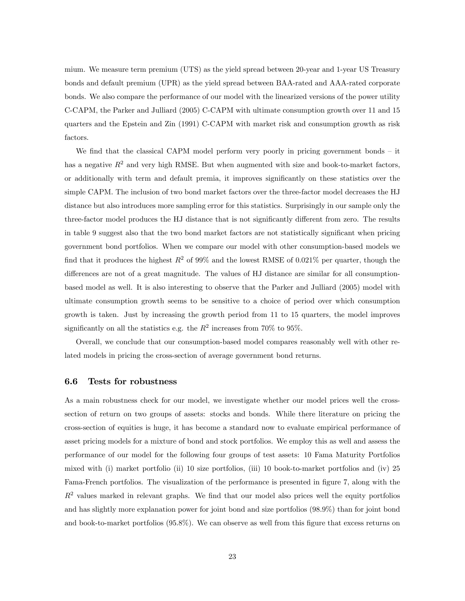mium. We measure term premium (UTS) as the yield spread between 20-year and 1-year US Treasury bonds and default premium (UPR) as the yield spread between BAA-rated and AAA-rated corporate bonds. We also compare the performance of our model with the linearized versions of the power utility C-CAPM, the Parker and Julliard (2005) C-CAPM with ultimate consumption growth over 11 and 15 quarters and the Epstein and Zin (1991) C-CAPM with market risk and consumption growth as risk factors.

We find that the classical CAPM model perform very poorly in pricing government bonds  $-$  it has a negative  $R^2$  and very high RMSE. But when augmented with size and book-to-market factors, or additionally with term and default premia, it improves significantly on these statistics over the simple CAPM. The inclusion of two bond market factors over the three-factor model decreases the HJ distance but also introduces more sampling error for this statistics. Surprisingly in our sample only the three-factor model produces the HJ distance that is not significantly different from zero. The results in table 9 suggest also that the two bond market factors are not statistically significant when pricing government bond portfolios. When we compare our model with other consumption-based models we find that it produces the highest  $R^2$  of 99% and the lowest RMSE of 0.021% per quarter, though the differences are not of a great magnitude. The values of HJ distance are similar for all consumptionbased model as well. It is also interesting to observe that the Parker and Julliard (2005) model with ultimate consumption growth seems to be sensitive to a choice of period over which consumption growth is taken. Just by increasing the growth period from 11 to 15 quarters, the model improves significantly on all the statistics e.g. the  $R^2$  increases from 70% to 95%.

Overall, we conclude that our consumption-based model compares reasonably well with other related models in pricing the cross-section of average government bond returns.

### 6.6 Tests for robustness

As a main robustness check for our model, we investigate whether our model prices well the crosssection of return on two groups of assets: stocks and bonds. While there literature on pricing the cross-section of equities is huge, it has become a standard now to evaluate empirical performance of asset pricing models for a mixture of bond and stock portfolios. We employ this as well and assess the performance of our model for the following four groups of test assets: 10 Fama Maturity Portfolios mixed with (i) market portfolio (ii) 10 size portfolios, (iii) 10 book-to-market portfolios and (iv) 25 Fama-French portfolios. The visualization of the performance is presented in figure 7, along with the  $R<sup>2</sup>$  values marked in relevant graphs. We find that our model also prices well the equity portfolios and has slightly more explanation power for joint bond and size portfolios (98.9%) than for joint bond and book-to-market portfolios  $(95.8\%)$ . We can observe as well from this figure that excess returns on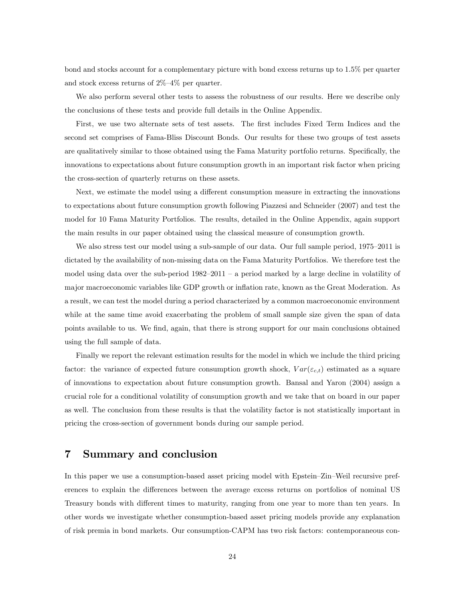bond and stocks account for a complementary picture with bond excess returns up to 1.5% per quarter and stock excess returns of  $2\%$ -4% per quarter.

We also perform several other tests to assess the robustness of our results. Here we describe only the conclusions of these tests and provide full details in the Online Appendix.

First, we use two alternate sets of test assets. The first includes Fixed Term Indices and the second set comprises of Fama-Bliss Discount Bonds. Our results for these two groups of test assets are qualitatively similar to those obtained using the Fama Maturity portfolio returns. Specifically, the innovations to expectations about future consumption growth in an important risk factor when pricing the cross-section of quarterly returns on these assets.

Next, we estimate the model using a different consumption measure in extracting the innovations to expectations about future consumption growth following Piazzesi and Schneider (2007) and test the model for 10 Fama Maturity Portfolios. The results, detailed in the Online Appendix, again support the main results in our paper obtained using the classical measure of consumption growth.

We also stress test our model using a sub-sample of our data. Our full sample period, 1975–2011 is dictated by the availability of non-missing data on the Fama Maturity Portfolios. We therefore test the model using data over the sub-period  $1982-2011$  – a period marked by a large decline in volatility of major macroeconomic variables like GDP growth or ináation rate, known as the Great Moderation. As a result, we can test the model during a period characterized by a common macroeconomic environment while at the same time avoid exacerbating the problem of small sample size given the span of data points available to us. We find, again, that there is strong support for our main conclusions obtained using the full sample of data.

Finally we report the relevant estimation results for the model in which we include the third pricing factor: the variance of expected future consumption growth shock,  $Var(\varepsilon_{c,t})$  estimated as a square of innovations to expectation about future consumption growth. Bansal and Yaron (2004) assign a crucial role for a conditional volatility of consumption growth and we take that on board in our paper as well. The conclusion from these results is that the volatility factor is not statistically important in pricing the cross-section of government bonds during our sample period.

## 7 Summary and conclusion

In this paper we use a consumption-based asset pricing model with Epstein–Zin–Weil recursive preferences to explain the differences between the average excess returns on portfolios of nominal US Treasury bonds with different times to maturity, ranging from one year to more than ten years. In other words we investigate whether consumption-based asset pricing models provide any explanation of risk premia in bond markets. Our consumption-CAPM has two risk factors: contemporaneous con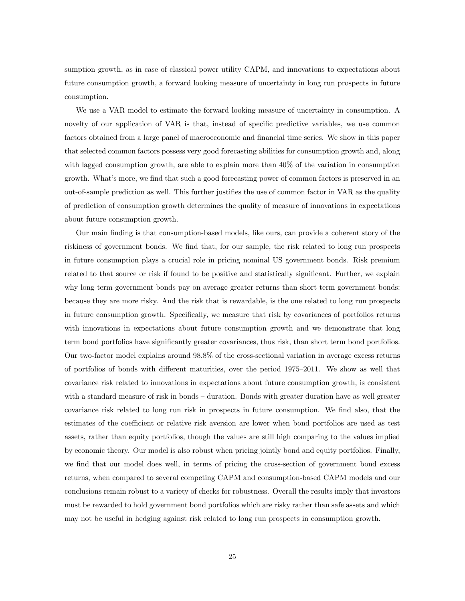sumption growth, as in case of classical power utility CAPM, and innovations to expectations about future consumption growth, a forward looking measure of uncertainty in long run prospects in future consumption.

We use a VAR model to estimate the forward looking measure of uncertainty in consumption. A novelty of our application of VAR is that, instead of specific predictive variables, we use common factors obtained from a large panel of macroeconomic and financial time series. We show in this paper that selected common factors possess very good forecasting abilities for consumption growth and, along with lagged consumption growth, are able to explain more than 40% of the variation in consumption growth. What's more, we find that such a good forecasting power of common factors is preserved in an out-of-sample prediction as well. This further justifies the use of common factor in VAR as the quality of prediction of consumption growth determines the quality of measure of innovations in expectations about future consumption growth.

Our main Önding is that consumption-based models, like ours, can provide a coherent story of the riskiness of government bonds. We find that, for our sample, the risk related to long run prospects in future consumption plays a crucial role in pricing nominal US government bonds. Risk premium related to that source or risk if found to be positive and statistically significant. Further, we explain why long term government bonds pay on average greater returns than short term government bonds: because they are more risky. And the risk that is rewardable, is the one related to long run prospects in future consumption growth. Specifically, we measure that risk by covariances of portfolios returns with innovations in expectations about future consumption growth and we demonstrate that long term bond portfolios have significantly greater covariances, thus risk, than short term bond portfolios. Our two-factor model explains around 98.8% of the cross-sectional variation in average excess returns of portfolios of bonds with different maturities, over the period  $1975-2011$ . We show as well that covariance risk related to innovations in expectations about future consumption growth, is consistent with a standard measure of risk in bonds – duration. Bonds with greater duration have as well greater covariance risk related to long run risk in prospects in future consumption. We find also, that the estimates of the coefficient or relative risk aversion are lower when bond portfolios are used as test assets, rather than equity portfolios, though the values are still high comparing to the values implied by economic theory. Our model is also robust when pricing jointly bond and equity portfolios. Finally, we find that our model does well, in terms of pricing the cross-section of government bond excess returns, when compared to several competing CAPM and consumption-based CAPM models and our conclusions remain robust to a variety of checks for robustness. Overall the results imply that investors must be rewarded to hold government bond portfolios which are risky rather than safe assets and which may not be useful in hedging against risk related to long run prospects in consumption growth.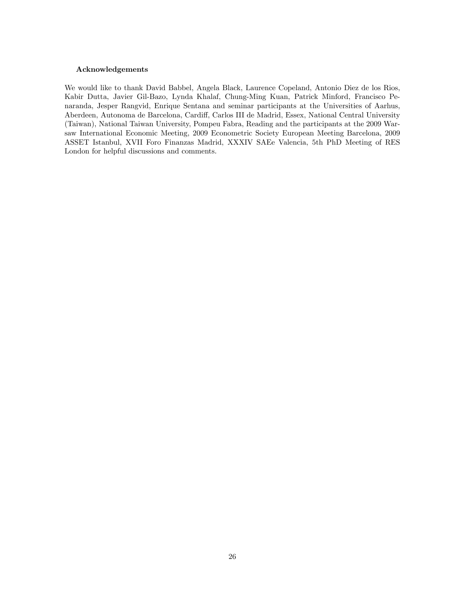#### Acknowledgements

We would like to thank David Babbel, Angela Black, Laurence Copeland, Antonio Diez de los Rios, Kabir Dutta, Javier Gil-Bazo, Lynda Khalaf, Chung-Ming Kuan, Patrick Minford, Francisco Penaranda, Jesper Rangvid, Enrique Sentana and seminar participants at the Universities of Aarhus, Aberdeen, Autonoma de Barcelona, Cardiff, Carlos III de Madrid, Essex, National Central University (Taiwan), National Taiwan University, Pompeu Fabra, Reading and the participants at the 2009 Warsaw International Economic Meeting, 2009 Econometric Society European Meeting Barcelona, 2009 ASSET Istanbul, XVII Foro Finanzas Madrid, XXXIV SAEe Valencia, 5th PhD Meeting of RES London for helpful discussions and comments.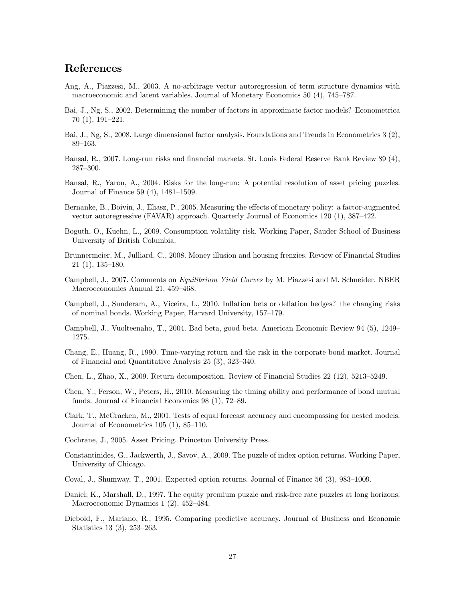## References

- Ang, A., Piazzesi, M., 2003. A no-arbitrage vector autoregression of term structure dynamics with macroeconomic and latent variables. Journal of Monetary Economics  $50 \text{ } (4)$ ,  $745-787$ .
- Bai, J., Ng, S., 2002. Determining the number of factors in approximate factor models? Econometrica  $70(1), 191-221.$
- Bai, J., Ng, S., 2008. Large dimensional factor analysis. Foundations and Trends in Econometrics 3 (2), 89–163.
- Bansal, R., 2007. Long-run risks and Önancial markets. St. Louis Federal Reserve Bank Review 89 (4), 287-300.
- Bansal, R., Yaron, A., 2004. Risks for the long-run: A potential resolution of asset pricing puzzles. Journal of Finance 59  $(4)$ , 1481–1509.
- Bernanke, B., Boivin, J., Eliasz, P., 2005. Measuring the effects of monetary policy: a factor-augmented vector autoregressive (FAVAR) approach. Quarterly Journal of Economics 120  $(1)$ , 387 $-422$ .
- Boguth, O., Kuehn, L., 2009. Consumption volatility risk. Working Paper, Sauder School of Business University of British Columbia.
- Brunnermeier, M., Julliard, C., 2008. Money illusion and housing frenzies. Review of Financial Studies  $21(1), 135-180.$
- Campbell, J., 2007. Comments on Equilibrium Yield Curves by M. Piazzesi and M. Schneider. NBER Macroeconomics Annual 21, 459-468.
- Campbell, J., Sunderam, A., Viceira, L., 2010. Inflation bets or deflation hedges? the changing risks of nominal bonds. Working Paper, Harvard University, 157–179.
- Campbell, J., Vuolteenaho, T., 2004. Bad beta, good beta. American Economic Review 94 (5), 1249 1275.
- Chang, E., Huang, R., 1990. Time-varying return and the risk in the corporate bond market. Journal of Financial and Quantitative Analysis  $25(3)$ ,  $323-340$ .
- Chen, L., Zhao, X., 2009. Return decomposition. Review of Financial Studies  $22$  (12), 5213–5249.
- Chen, Y., Ferson, W., Peters, H., 2010. Measuring the timing ability and performance of bond mutual funds. Journal of Financial Economics  $98(1)$ ,  $72-89$ .
- Clark, T., McCracken, M., 2001. Tests of equal forecast accuracy and encompassing for nested models. Journal of Econometrics 105  $(1)$ , 85–110.
- Cochrane, J., 2005. Asset Pricing. Princeton University Press.
- Constantinides, G., Jackwerth, J., Savov, A., 2009. The puzzle of index option returns. Working Paper, University of Chicago.
- Coval, J., Shumway, T., 2001. Expected option returns. Journal of Finance 56  $(3)$ , 983–1009.
- Daniel, K., Marshall, D., 1997. The equity premium puzzle and risk-free rate puzzles at long horizons. Macroeconomic Dynamics 1 $(2)$ , 452–484.
- Diebold, F., Mariano, R., 1995. Comparing predictive accuracy. Journal of Business and Economic Statistics 13  $(3)$ , 253–263.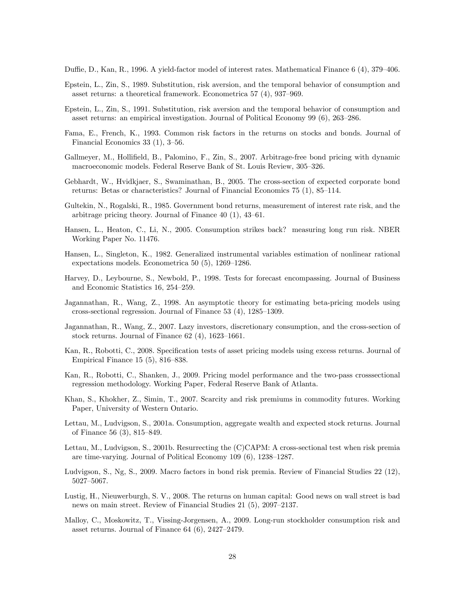Duffie, D., Kan, R., 1996. A yield-factor model of interest rates. Mathematical Finance 6 (4), 379–406.

- Epstein, L., Zin, S., 1989. Substitution, risk aversion, and the temporal behavior of consumption and asset returns: a theoretical framework. Econometrica  $57 \, (4)$ ,  $937-969$ .
- Epstein, L., Zin, S., 1991. Substitution, risk aversion and the temporal behavior of consumption and asset returns: an empirical investigation. Journal of Political Economy  $99(6)$ ,  $263-286$ .
- Fama, E., French, K., 1993. Common risk factors in the returns on stocks and bonds. Journal of Financial Economics 33 (1),  $3-56$ .
- Gallmeyer, M., Hollifield, B., Palomino, F., Zin, S., 2007. Arbitrage-free bond pricing with dynamic macroeconomic models. Federal Reserve Bank of St. Louis Review, 305-326.
- Gebhardt, W., Hvidkjaer, S., Swaminathan, B., 2005. The cross-section of expected corporate bond returns: Betas or characteristics? Journal of Financial Economics  $75$  (1),  $85-114$ .
- Gultekin, N., Rogalski, R., 1985. Government bond returns, measurement of interest rate risk, and the arbitrage pricing theory. Journal of Finance  $40(1)$ ,  $43-61$ .
- Hansen, L., Heaton, C., Li, N., 2005. Consumption strikes back? measuring long run risk. NBER Working Paper No. 11476.
- Hansen, L., Singleton, K., 1982. Generalized instrumental variables estimation of nonlinear rational expectations models. Econometrica 50  $(5)$ , 1269–1286.
- Harvey, D., Leybourne, S., Newbold, P., 1998. Tests for forecast encompassing. Journal of Business and Economic Statistics 16, 254–259.
- Jagannathan, R., Wang, Z., 1998. An asymptotic theory for estimating beta-pricing models using cross-sectional regression. Journal of Finance  $53$  (4),  $1285-1309$ .
- Jagannathan, R., Wang, Z., 2007. Lazy investors, discretionary consumption, and the cross-section of stock returns. Journal of Finance  $62$  (4), 1623–1661.
- Kan, R., Robotti, C., 2008. Specification tests of asset pricing models using excess returns. Journal of Empirical Finance  $15(5)$ ,  $816-838$ .
- Kan, R., Robotti, C., Shanken, J., 2009. Pricing model performance and the two-pass crosssectional regression methodology. Working Paper, Federal Reserve Bank of Atlanta.
- Khan, S., Khokher, Z., Simin, T., 2007. Scarcity and risk premiums in commodity futures. Working Paper, University of Western Ontario.
- Lettau, M., Ludvigson, S., 2001a. Consumption, aggregate wealth and expected stock returns. Journal of Finance 56  $(3)$ , 815–849.
- Lettau, M., Ludvigson, S., 2001b. Resurrecting the (C)CAPM: A cross-sectional test when risk premia are time-varying. Journal of Political Economy  $109(6)$ ,  $1238-1287$ .
- Ludvigson, S., Ng, S., 2009. Macro factors in bond risk premia. Review of Financial Studies 22 (12), 5027-5067.
- Lustig, H., Nieuwerburgh, S. V., 2008. The returns on human capital: Good news on wall street is bad news on main street. Review of Financial Studies  $21$  (5),  $2097-2137$ .
- Malloy, C., Moskowitz, T., Vissing-Jorgensen, A., 2009. Long-run stockholder consumption risk and asset returns. Journal of Finance  $64$   $(6)$ ,  $2427-2479$ .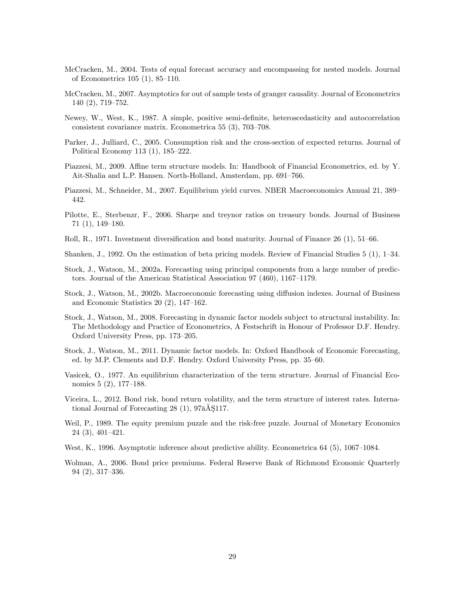- McCracken, M., 2004. Tests of equal forecast accuracy and encompassing for nested models. Journal of Econometrics 105  $(1)$ , 85–110.
- McCracken, M., 2007. Asymptotics for out of sample tests of granger causality. Journal of Econometrics  $140(2)$ , 719–752.
- Newey, W., West, K., 1987. A simple, positive semi-definite, heteroscedasticity and autocorrelation consistent covariance matrix. Econometrica  $55$  (3),  $703-708$ .
- Parker, J., Julliard, C., 2005. Consumption risk and the cross-section of expected returns. Journal of Political Economy 113  $(1)$ , 185–222.
- Piazzesi, M., 2009. Affine term structure models. In: Handbook of Financial Econometrics, ed. by Y. Ait-Shalia and L.P. Hansen. North-Holland, Amsterdam, pp. 691–766.
- Piazzesi, M., Schneider, M., 2007. Equilibrium yield curves. NBER Macroeconomics Annual 21, 389 442.
- Pilotte, E., Sterbenzr, F., 2006. Sharpe and treynor ratios on treasury bonds. Journal of Business  $71$   $(1)$ ,  $149-180$ .
- Roll, R., 1971. Investment diversification and bond maturity. Journal of Finance  $26$  (1),  $51-66$ .
- Shanken, J., 1992. On the estimation of beta pricing models. Review of Financial Studies  $5(1)$ , 1–34.
- Stock, J., Watson, M., 2002a. Forecasting using principal components from a large number of predictors. Journal of the American Statistical Association  $97 \ (460)$ ,  $1167-1179$ .
- Stock, J., Watson, M., 2002b. Macroeconomic forecasting using diffusion indexes. Journal of Business and Economic Statistics  $20(2)$ , 147–162.
- Stock, J., Watson, M., 2008. Forecasting in dynamic factor models subject to structural instability. In: The Methodology and Practice of Econometrics, A Festschrift in Honour of Professor D.F. Hendry. Oxford University Press, pp. 173–205.
- Stock, J., Watson, M., 2011. Dynamic factor models. In: Oxford Handbook of Economic Forecasting, ed. by M.P. Clements and D.F. Hendry. Oxford University Press, pp.  $35-60$ .
- Vasicek, O., 1977. An equilibrium characterization of the term structure. Journal of Financial Economics  $5(2)$ , 177–188.
- Viceira, L., 2012. Bond risk, bond return volatility, and the term structure of interest rates. International Journal of Forecasting  $28(1)$ ,  $97\hat{a}\overline{A}S117$ .
- Weil, P., 1989. The equity premium puzzle and the risk-free puzzle. Journal of Monetary Economics  $24(3), 401-421.$
- West, K., 1996. Asymptotic inference about predictive ability. Econometrica  $64$  (5), 1067–1084.
- Wolman, A., 2006. Bond price premiums. Federal Reserve Bank of Richmond Economic Quarterly  $94(2), 317-336.$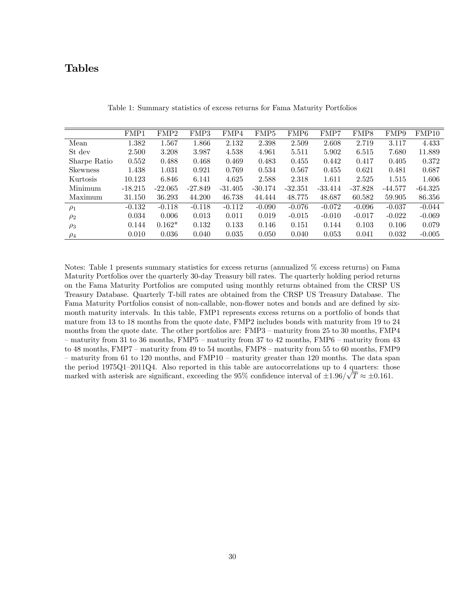# Tables

|                 | FMP1      | FMP2      | FMP3      | FMP4      | FMP <sub>5</sub> | FMP6      | FMP7      | FMP8      | FMP9      | FMP10     |
|-----------------|-----------|-----------|-----------|-----------|------------------|-----------|-----------|-----------|-----------|-----------|
| Mean            | 1.382     | 1.567     | 1.866     | 2.132     | 2.398            | 2.509     | 2.608     | 2.719     | 3.117     | 4.433     |
| St dev          | 2.500     | 3.208     | 3.987     | 4.538     | 4.961            | 5.511     | 5.902     | 6.515     | 7.680     | 11.889    |
| Sharpe Ratio    | 0.552     | 0.488     | 0.468     | 0.469     | 0.483            | 0.455     | 0.442     | 0.417     | 0.405     | 0.372     |
| <b>Skewness</b> | 1.438     | 1.031     | 0.921     | 0.769     | 0.534            | 0.567     | 0.455     | 0.621     | 0.481     | 0.687     |
| <b>Kurtosis</b> | 10.123    | 6.846     | 6.141     | 4.625     | 2.588            | 2.318     | 1.611     | 2.525     | 1.515     | 1.606     |
| Minimum         | $-18.215$ | $-22.065$ | $-27.849$ | $-31.405$ | $-30.174$        | $-32.351$ | $-33.414$ | $-37.828$ | $-44.577$ | $-64.325$ |
| Maximum         | 31.150    | 36.293    | 44.200    | 46.738    | 44.444           | 48.775    | 48.687    | 60.582    | 59.905    | 86.356    |
| $\rho_1$        | $-0.132$  | $-0.118$  | $-0.118$  | $-0.112$  | $-0.090$         | $-0.076$  | $-0.072$  | $-0.096$  | $-0.037$  | $-0.044$  |
| $\rho_2$        | 0.034     | 0.006     | 0.013     | 0.011     | 0.019            | $-0.015$  | $-0.010$  | $-0.017$  | $-0.022$  | $-0.069$  |
| $\rho_3$        | 0.144     | $0.162*$  | 0.132     | 0.133     | 0.146            | 0.151     | 0.144     | 0.103     | 0.106     | 0.079     |
| $\rho_4$        | 0.010     | 0.036     | 0.040     | 0.035     | 0.050            | 0.040     | 0.053     | 0.041     | 0.032     | $-0.005$  |

Table 1: Summary statistics of excess returns for Fama Maturity Portfolios

Notes: Table 1 presents summary statistics for excess returns (annualized % excess returns) on Fama Maturity Portfolios over the quarterly 30-day Treasury bill rates. The quarterly holding period returns on the Fama Maturity Portfolios are computed using monthly returns obtained from the CRSP US Treasury Database. Quarterly T-bill rates are obtained from the CRSP US Treasury Database. The Fama Maturity Portfolios consist of non-callable, non-flower notes and bonds and are defined by sixmonth maturity intervals. In this table, FMP1 represents excess returns on a portfolio of bonds that mature from 13 to 18 months from the quote date, FMP2 includes bonds with maturity from 19 to 24 months from the quote date. The other portfolios are:  $FMP3$  – maturity from 25 to 30 months,  $FMP4$ – maturity from 31 to 36 months, FMP5 – maturity from 37 to 42 months, FMP6 – maturity from 43 to 48 months, FMP7 – maturity from 49 to 54 months, FMP8 – maturity from 55 to 60 months, FMP9  $m_1$  = maturity from 61 to 120 months, and FMP10  $-$  maturity greater than 120 months. The data span the period  $1975Q1-2011Q4$ . Also reported in this table are autocorrelations up to 4 quarters: those marked with asterisk are significant, exceeding the 95% confidence interval of  $\pm 1.96/\sqrt{T} \approx \pm 0.161$ .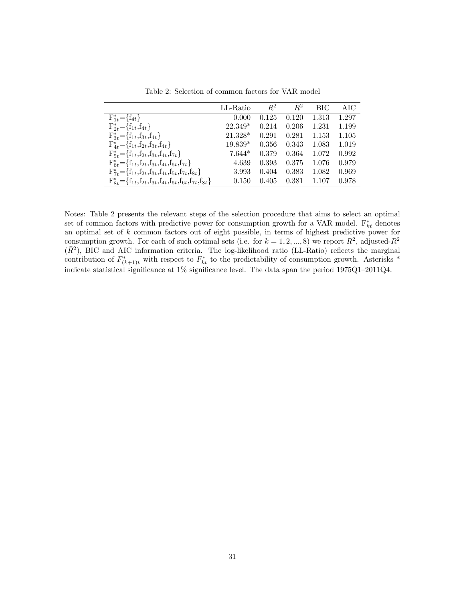|                                                                                  | LL-Ratio  | $R^2$ | $R^2$ | BIC.  | AIC   |
|----------------------------------------------------------------------------------|-----------|-------|-------|-------|-------|
| $F_{1t}^* = \{f_{4t}\}\$                                                         | 0.000     | 0.125 | 0.120 | 1.313 | 1.297 |
| $F_{2t}^* = \{f_{1t}, f_{4t}\}\$                                                 | $22.349*$ | 0.214 | 0.206 | 1.231 | 1.199 |
| $F_{3t}^* = \{f_{1t}, f_{3t}, f_{4t}\}\$                                         | $21.328*$ | 0.291 | 0.281 | 1.153 | 1.105 |
| $F_{4t}^* = \{f_{1t}, f_{2t}, f_{3t}, f_{4t}\}\$                                 | $19.839*$ | 0.356 | 0.343 | 1.083 | 1.019 |
| $F_{5t}^* = \{f_{1t}, f_{2t}, f_{3t}, f_{4t}, f_{7t}\}\$                         | $7.644*$  | 0.379 | 0.364 | 1.072 | 0.992 |
| $F_{6t}^* = \{f_{1t}, f_{2t}, f_{3t}, f_{4t}, f_{5t}, f_{7t}\}$                  | 4.639     | 0.393 | 0.375 | 1.076 | 0.979 |
| $F_{7t}^* = \{f_{1t}, f_{2t}, f_{3t}, f_{4t}, f_{5t}, f_{7t}, f_{8t}\}\$         | 3.993     | 0.404 | 0.383 | 1.082 | 0.969 |
| $F_{8t}^* = \{f_{1t}, f_{2t}, f_{3t}, f_{4t}, f_{5t}, f_{6t}, f_{7t}, f_{8t}\}\$ | 0.150     | 0.405 | 0.381 | 1.107 | 0.978 |

Table 2: Selection of common factors for VAR model

Notes: Table 2 presents the relevant steps of the selection procedure that aims to select an optimal set of common factors with predictive power for consumption growth for a VAR model.  $F_{kt}^*$  denotes an optimal set of  $k$  common factors out of eight possible, in terms of highest predictive power for consumption growth. For each of such optimal sets (i.e. for  $k = 1, 2, ..., 8$ ) we report  $R^2$ , adjusted- $R^2$  $(\bar{R}^2)$ , BIC and AIC information criteria. The log-likelihood ratio (LL-Ratio) reflects the marginal contribution of  $F_{(k+1)t}^*$  with respect to  $F_{kt}^*$  to the predictability of consumption growth. Asterisks  $^*$ indicate statistical significance at  $1\%$  significance level. The data span the period  $1975Q1-2011Q4$ .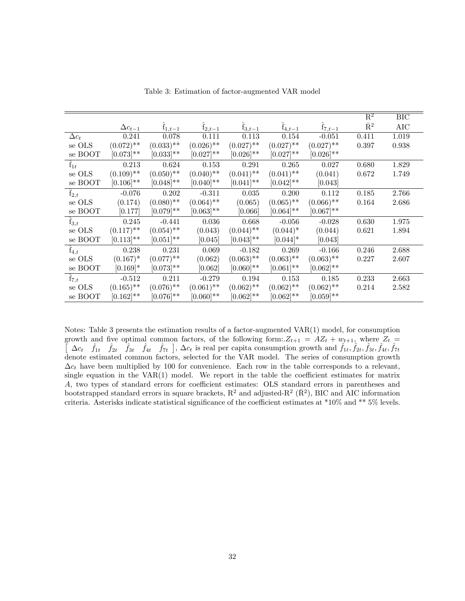|                          |                         |              |                   |                            |                            |                   | $\overline{\mathrm{R}^2}$ | <b>BIC</b> |
|--------------------------|-------------------------|--------------|-------------------|----------------------------|----------------------------|-------------------|---------------------------|------------|
|                          | $\Delta c_{t-1}$        | $f_{1,t-1}$  | $\hat{f}_{2,t-1}$ | $\hat{\mathrm{f}}_{3,t-1}$ | $\hat{\mathrm{f}}_{4,t-1}$ | $\hat{f}_{7,t-1}$ | $\bar{\mathrm{R}}^2$      | AIC        |
| $\Delta c_t$             | 0.241                   | 0.078        | 0.111             | 0.113                      | 0.154                      | $-0.051$          | 0.411                     | 1.019      |
| se OLS                   | $(0.072)$ **            | $(0.033)$ ** | $(0.026)$ **      | $(0.027)$ **               | $(0.027)$ **               | $(0.027)$ **      | 0.397                     | 0.938      |
| se $\rm{BOOT}$           | $[0.073]$ **            | $[0.033]$ ** | $[0.027]$ **      | $[0.026]$ **               | $[0.027]**$                | $[0.026]$ **      |                           |            |
| $\hat{\mathrm{f}}_{1t}$  | 0.213                   | 0.624        | 0.153             | 0.291                      | 0.265                      | 0.027             | 0.680                     | 1.829      |
| se OLS                   | $(0.109)$ **            | $(0.050)$ ** | $(0.040)$ **      | $(0.041)$ **               | $(0.041)$ **               | (0.041)           | 0.672                     | 1.749      |
| se BOOT                  | $[0.106]$ **            | $[0.048]$ ** | $[0.040]$ **      | $[0.041]$ **               | $[0.042]$ **               | [0.043]           |                           |            |
| $\hat{\mathrm{f}}_{2,t}$ | $-0.076$                | 0.202        | $-0.311$          | 0.035                      | 0.200                      | 0.112             | 0.185                     | 2.766      |
| se OLS                   | (0.174)                 | $(0.080)$ ** | $(0.064)$ **      | (0.065)                    | $(0.065)$ **               | $(0.066)$ **      | 0.164                     | 2.686      |
| se BOOT                  | [0.177]                 | $[0.079]$ ** | $[0.063]$ **      | [0.066]                    | $[0.064]$ **               | $[0.067]$ **      |                           |            |
| $\hat{\mathrm{f}}_{3,t}$ | 0.245                   | $-0.441$     | 0.036             | 0.668                      | $-0.056$                   | $-0.028$          | 0.630                     | 1.975      |
| se OLS                   | $(0.117)$ <sup>**</sup> | $(0.054)$ ** | (0.043)           | $(0.044)$ **               | $(0.044)^*$                | (0.044)           | 0.621                     | 1.894      |
| se BOOT                  | $[0.113]$ **            | $[0.051]$ ** | [0.045]           | $[0.043]$ **               | $[0.044]$ *                | [0.043]           |                           |            |
| $\hat{\mathrm{f}}_{4,t}$ | 0.238                   | 0.231        | 0.069             | $-0.182$                   | 0.269                      | $-0.166$          | 0.246                     | 2.688      |
| se OLS                   | $(0.167)^*$             | $(0.077)$ ** | (0.062)           | $(0.063)$ **               | $(0.063)$ **               | $(0.063)$ **      | 0.227                     | 2.607      |
| se $\rm{BOOT}$           | $[0.169]$ *             | $[0.073]$ ** | [0.062]           | $[0.060]$ **               | $[0.061]$ **               | $[0.062]$ **      |                           |            |
| $\hat{\mathrm{f}}_{7,t}$ | $-0.512$                | 0.211        | $-0.279$          | 0.194                      | 0.153                      | 0.185             | 0.233                     | 2.663      |
| se OLS                   | $(0.165)$ **            | $(0.076)$ ** | $(0.061)$ **      | $(0.062)$ **               | $(0.062)$ **               | $(0.062)$ **      | 0.214                     | 2.582      |
| se BOOT                  | $[0.162]$ **            | $[0.076]$ ** | $[0.060]$ **      | $[0.062]$ **               | $[0.062]$ **               | $[0.059]$ **      |                           |            |

Table 3: Estimation of factor-augmented VAR model

Notes: Table 3 presents the estimation results of a factor-augmented VAR(1) model, for consumption growth and five optimal common factors, of the following form: $Z_{t+1} = AZ_t + w_{t+1}$ , where  $Z_t = [\Delta c_t \hat{f}_{1t} + \hat{f}_{2t} \hat{f}_{2t} + \hat{f}_{3t} \hat{f}_{3t}]$ .  $\Delta c_t$  is real per capita consumption growth and  $\hat{f}_{1t}$ ,  $\hat{f}_{2t}$ ,  $\hat{f}_{3$  $\Delta c_t$   $\hat{f}_{1t}$   $\hat{f}_{2t}$   $\hat{f}_{3t}$   $\hat{f}_{4t}$   $\hat{f}_{7t}$  ,  $\Delta c_t$  is real per capita consumption growth and  $\hat{f}_{1t}$ ,  $\hat{f}_{2t}$ ,  $\hat{f}_{3t}$ ,  $\hat{f}_{4t}$ ,  $\hat{f}_{7t}$ denote estimated common factors, selected for the VAR model. The series of consumption growth  $\Delta c_t$  have been multiplied by 100 for convenience. Each row in the table corresponds to a relevant, single equation in the  $VAR(1)$  model. We report in the table the coefficient estimates for matrix A, two types of standard errors for coefficient estimates: OLS standard errors in parentheses and bootstrapped standard errors in square brackets,  $R^2$  and adjusted- $R^2$  ( $\bar{R}^2$ ), BIC and AIC information criteria. Asterisks indicate statistical significance of the coefficient estimates at  $*10\%$  and  $** 5\%$  levels.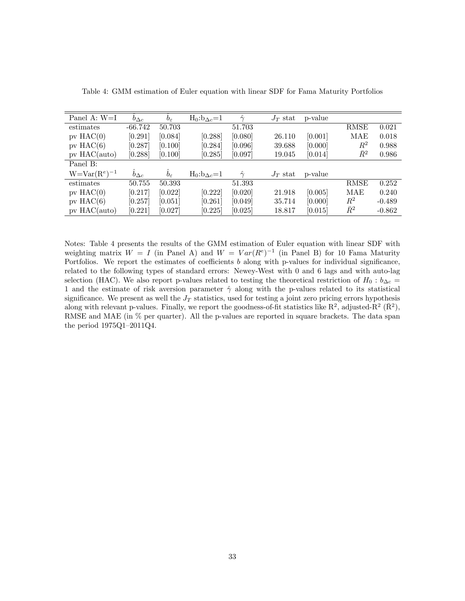| Panel A: $W=I$    | $b_{\Delta c}$ | $b_{\varepsilon}$ | $H_0:b_{\Delta c}=1$ | $\alpha$       | $J_T$ stat | p-value |                |          |
|-------------------|----------------|-------------------|----------------------|----------------|------------|---------|----------------|----------|
| estimates         | $-66.742$      | 50.703            |                      | 51.703         |            |         | <b>RMSE</b>    | 0.021    |
| $pv$ HAC $(0)$    | [0.291]        | [0.084]           | [0.288]              | [0.080]        | 26.110     | [0.001] | MAE            | 0.018    |
| $pv$ HAC $(6)$    | [0.287]        | [0.100]           | [0.284]              | [0.096]        | 39.688     | [0.000] | $R^2$          | 0.988    |
| $pv$ HAC(auto)    | [0.288]        | [0.100]           | [0.285]              | [0.097]        | 19.045     | [0.014] | $\bar{R}^2$    | 0.986    |
| Panel B:          |                |                   |                      |                |            |         |                |          |
| $W=Var(R^e)^{-1}$ | $b_{\Delta c}$ | $b_{\varepsilon}$ | $H_0:b_{\Delta c}=1$ | $\hat{\gamma}$ | $J_T$ stat | p-value |                |          |
| estimates         | 50.755         | 50.393            |                      | 51.393         |            |         | RMSE           | 0.252    |
| $pv$ HAC $(0)$    | [0.217]        | [0.022]           | [0.222]              | [0.020]        | 21.918     | [0.005] | MAE            | 0.240    |
| $pv$ HAC $(6)$    | [0.257]        | [0.051]           | [0.261]              | [0.049]        | 35.714     | [0.000] | $\mathbb{R}^2$ | $-0.489$ |
| $pv$ HAC(auto)    | [0.221]        | [0.027]           | [0.225]              | [0.025]        | 18.817     | [0.015] | $\bar{R}^2$    | $-0.862$ |

Table 4: GMM estimation of Euler equation with linear SDF for Fama Maturity Portfolios

Notes: Table 4 presents the results of the GMM estimation of Euler equation with linear SDF with weighting matrix  $W = I$  (in Panel A) and  $W = Var(R^{e})^{-1}$  (in Panel B) for 10 Fama Maturity Portfolios. We report the estimates of coefficients  $b$  along with p-values for individual significance, related to the following types of standard errors: Newey-West with 0 and 6 lags and with auto-lag selection (HAC). We also report p-values related to testing the theoretical restriction of  $H_0$ :  $b_{\Delta c}$  = 1 and the estimate of risk aversion parameter  $\hat{\gamma}$  along with the p-values related to its statistical significance. We present as well the  $J_T$  statistics, used for testing a joint zero pricing errors hypothesis along with relevant p-values. Finally, we report the goodness-of-fit statistics like  $R^2$ , adjusted- $R^2$  ( $\bar{R}^2$ ), RMSE and MAE (in  $\%$  per quarter). All the p-values are reported in square brackets. The data span the period  $1975Q1-2011Q4$ .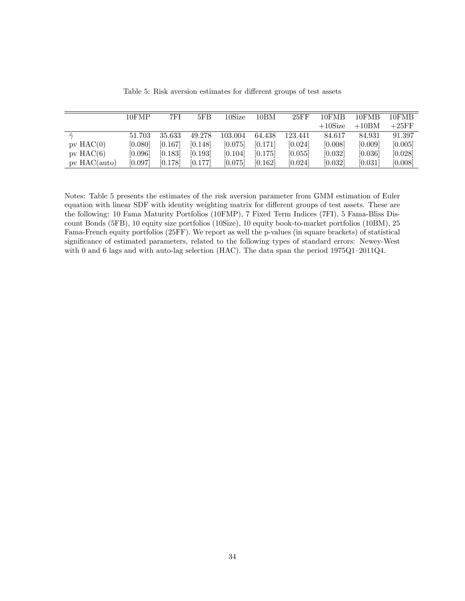|                | 10FMP   | 7FI     | 5FB     | 10Size  | 10BM    | 25FF    | 10FMB     | 10FMB   | 10FMB   |
|----------------|---------|---------|---------|---------|---------|---------|-----------|---------|---------|
|                |         |         |         |         |         |         | $+10Size$ | $+10BM$ | $+25FF$ |
| $\hat{\sim}$   | 51.703  | 35.633  | 49.278  | 103.004 | 64.438  | 123.441 | 84.617    | 84.931  | 91.397  |
| $pv$ HAC $(0)$ | [0.080] | [0.167] | [0.148] | [0.075] | [0.171] | [0.024] | [0.008]   | [0.009] | [0.005] |
| $pv$ HAC $(6)$ | [0.096] | [0.183] | [0.193] | [0.104] | [0.175] | [0.055] | [0.032]   | [0.036] | [0.028] |
| $pv$ HAC(auto) | [0.097] | [0.178] | [0.177] | [0.075] | [0.162] | [0.024] | [0.032]   | [0.031] | [0.008] |

Table 5: Risk aversion estimates for different groups of test assets

Notes: Table 5 presents the estimates of the risk aversion parameter from GMM estimation of Euler equation with linear SDF with identity weighting matrix for different groups of test assets. These are the following: 10 Fama Maturity Portfolios (10FMP), 7 Fixed Term Indices (7FI), 5 Fama-Bliss Discount Bonds (5FB), 10 equity size portfolios (10Size), 10 equity book-to-market portfolios (10BM), 25 Fama-French equity portfolios (25FF). We report as well the p-values (in square brackets) of statistical significance of estimated parameters, related to the following types of standard errors: Newey-West with 0 and 6 lags and with auto-lag selection (HAC). The data span the period  $1975Q1-2011Q4$ .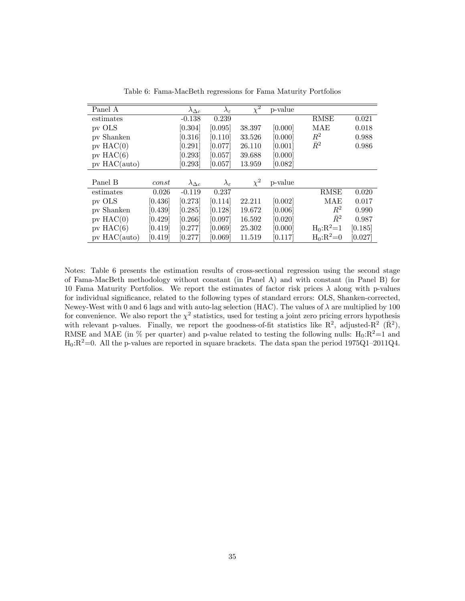| Panel $\overline{A}$ |         | $\lambda_{\Delta c}$ | $\lambda_{\varepsilon}$ | $\chi^2$ | p-value |             |         |
|----------------------|---------|----------------------|-------------------------|----------|---------|-------------|---------|
| estimates            |         | $-0.138$             | 0.239                   |          |         | <b>RMSE</b> | 0.021   |
| pv OLS               |         | [0.304]              | [0.095]                 | 38.397   | [0.000] | MAE         | 0.018   |
| pv Shanken           |         | [0.316]              | [0.110]                 | 33.526   | [0.000] | $\,R^2$     | 0.988   |
| $pv$ HAC $(0)$       |         | [0.291]              | [0.077]                 | 26.110   | [0.001] | $\bar{R}^2$ | 0.986   |
| $pv$ HAC $(6)$       |         | [0.293]              | [0.057]                 | 39.688   | [0.000] |             |         |
| pv HAC(auto)         |         | [0.293]              | [0.057]                 | 13.959   | [0.082] |             |         |
|                      |         |                      |                         |          |         |             |         |
| Panel B              | const   | $\lambda_{\Delta c}$ | $\lambda_\varepsilon$   | $\chi^2$ | p-value |             |         |
| estimates            | 0.026   | $-0.119$             | 0.237                   |          |         | <b>RMSE</b> | 0.020   |
| <sub>pv</sub> OLS    | [0.436] | [0.273]              | [0.114]                 | 22.211   | [0.002] | MAE         | 0.017   |
| pv Shanken           | [0.439] | [0.285]              | [0.128]                 | 19.672   | [0.006] | $\,R^2$     | 0.990   |
| $pv$ HAC $(0)$       | [0.429] | [0.266]              | [0.097]                 | 16.592   | [0.020] | $\bar{R}^2$ | 0.987   |
| $pv$ HAC $(6)$       | [0.419] | [0.277]              | [0.069]                 | 25.302   | [0.000] | $H_0:R^2=1$ | [0.185] |
| $pv$ HAC( $auto$ )   | [0.419] | [0.277]              | [0.069]                 | 11.519   | [0.117] | $H_0:R^2=0$ | [0.027] |

Table 6: Fama-MacBeth regressions for Fama Maturity Portfolios

Notes: Table 6 presents the estimation results of cross-sectional regression using the second stage of Fama-MacBeth methodology without constant (in Panel A) and with constant (in Panel B) for 10 Fama Maturity Portfolios. We report the estimates of factor risk prices  $\lambda$  along with p-values for individual significance, related to the following types of standard errors: OLS, Shanken-corrected, Newey-West with 0 and 6 lags and with auto-lag selection (HAC). The values of  $\lambda$  are multiplied by 100 for convenience. We also report the  $\chi^2$  statistics, used for testing a joint zero pricing errors hypothesis with relevant p-values. Finally, we report the goodness-of-fit statistics like  $R^2$ , adjusted- $R^2$  ( $\bar{R}^2$ ), RMSE and MAE (in % per quarter) and p-value related to testing the following nulls:  $H_0:R^2=1$  and  $H_0:R^2=0$ . All the p-values are reported in square brackets. The data span the period 1975Q1-2011Q4.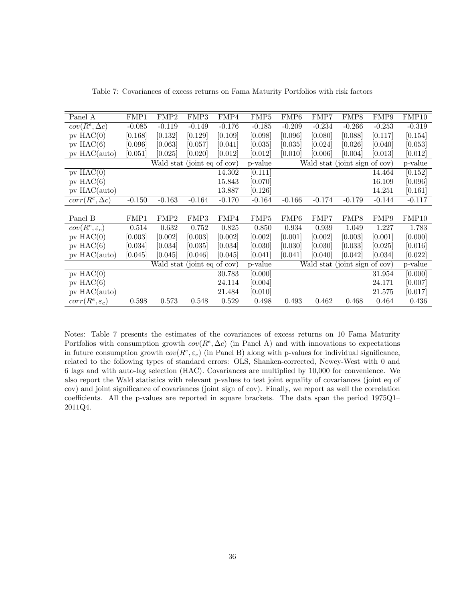| Panel A                               | FMP1     | FMP2                        | FMP3     | FMP4     | FMP <sub>5</sub> | FMP <sub>6</sub>              | FMP7     | FMP8                          | FMP9     | FMP10    |
|---------------------------------------|----------|-----------------------------|----------|----------|------------------|-------------------------------|----------|-------------------------------|----------|----------|
| $cov(R^e, \Delta c)$                  | $-0.085$ | $-0.119$                    | $-0.149$ | $-0.176$ | $-0.185$         | $-0.209$                      | $-0.234$ | $-0.266$                      | $-0.253$ | $-0.319$ |
| $pv$ HAC $(0)$                        | [0.168]  | [0.132]                     | [0.129]  | [0.109]  | [0.098]          | [0.096]                       | [0.080]  | [0.088]                       | [0.117]  | [0.154]  |
| $pv$ HAC $(6)$                        | [0.096]  | [0.063]                     | [0.057]  | [0.041]  | [0.035]          | [0.035]                       | [0.024]  | [0.026]                       | [0.040]  | [0.053]  |
| $pv$ HAC(auto)                        | [0.051]  | [0.025]                     | [0.020]  | [0.012]  | [0.012]          | [0.010]                       | [0.006]  | [0.004]                       | [0.013]  | [0.012]  |
|                                       |          | Wald stat (joint eq of cov) |          |          | p-value          | Wald stat (joint sign of cov) | p-value  |                               |          |          |
| $pv$ HAC $(0)$                        |          |                             |          | 14.302   | [0.111]          |                               |          |                               | 14.464   | [0.152]  |
| $pv$ HAC $(6)$                        |          |                             |          | 15.843   | [0.070]          |                               |          |                               | 16.109   | [0.096]  |
| $pv$ HAC(auto)                        |          |                             |          | 13.887   | [0.126]          |                               |          |                               | 14.251   | [0.161]  |
| $corr(R^e, \Delta c)$                 | $-0.150$ | $-0.163$                    | $-0.164$ | $-0.170$ | $-0.164$         | $-0.166$                      | $-0.174$ | $-0.179$                      | $-0.144$ | $-0.117$ |
|                                       |          |                             |          |          |                  |                               |          |                               |          |          |
| Panel B                               | FMP1     | FMP2                        | FMP3     | FMP4     | FMP <sub>5</sub> | FMP <sub>6</sub>              | FMP7     | FMP8                          | FMP9     | FMP10    |
| $cov(R^e, \varepsilon_c)$             | 0.514    | 0.632                       | 0.752    | 0.825    | 0.850            | 0.934                         | 0.939    | 1.049                         | 1.227    | 1.783    |
| $pv$ HAC $(0)$                        | [0.003]  | [0.002]                     | [0.003]  | [0.002]  | [0.002]          | [0.001]                       | [0.002]  | [0.003]                       | [0.001]  | [0.000]  |
| $pv$ HAC $(6)$                        | [0.034]  | [0.034]                     | [0.035]  | [0.034]  | [0.030]          | [0.030]                       | [0.030]  | [0.033]                       | [0.025]  | [0.016]  |
| pv HAC(auto)                          | [0.045]  | [0.045]                     | [0.046]  | [0.045]  | [0.041]          | [0.041]                       | [0.040]  | [0.042]                       | [0.034]  | [0.022]  |
|                                       |          | Wald stat (joint eq of cov) |          |          | p-value          |                               |          | Wald stat (joint sign of cov) |          | p-value  |
| $pv$ HAC $(0)$                        |          |                             |          | 30.783   | [0.000]          |                               |          |                               | 31.954   | [0.000]  |
| $pv$ HAC $(6)$                        |          |                             |          | 24.114   | [0.004]          |                               |          |                               | 24.171   | [0.007]  |
| $pv$ HAC(auto)                        |          |                             |          | 21.484   | [0.010]          |                               |          |                               | 21.575   | [0.017]  |
| $\overline{corr}(R^e, \varepsilon_c)$ | 0.598    | 0.573                       | 0.548    | 0.529    | 0.498            | 0.493                         | 0.462    | 0.468                         | 0.464    | 0.436    |

Table 7: Covariances of excess returns on Fama Maturity Portfolios with risk factors

Notes: Table 7 presents the estimates of the covariances of excess returns on 10 Fama Maturity Portfolios with consumption growth  $cov(R^e, \Delta c)$  (in Panel A) and with innovations to expectations in future consumption growth  $cov(R^e, \varepsilon_c)$  (in Panel B) along with p-values for individual significance, related to the following types of standard errors: OLS, Shanken-corrected, Newey-West with 0 and 6 lags and with auto-lag selection (HAC). Covariances are multiplied by 10,000 for convenience. We also report the Wald statistics with relevant p-values to test joint equality of covariances (joint eq of cov) and joint significance of covariances (joint sign of cov). Finally, we report as well the correlation coefficients. All the p-values are reported in square brackets. The data span the period  $1975Q1-$ 2011Q4.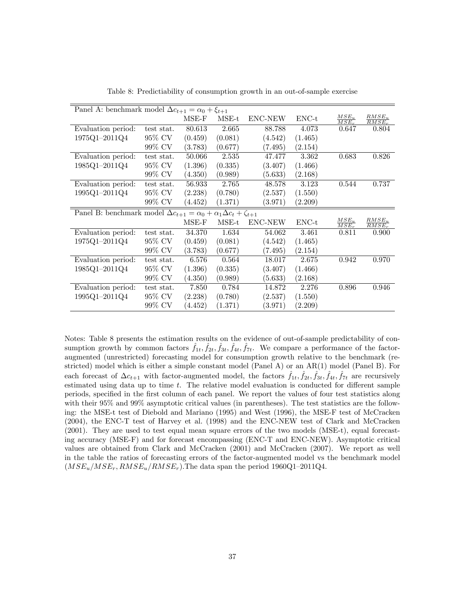|                                                                                          | Panel A: benchmark model $\Delta c_{t+1} = \alpha_0 + \xi_{t+1}$ |         |         |         |         |                       |                         |  |  |  |
|------------------------------------------------------------------------------------------|------------------------------------------------------------------|---------|---------|---------|---------|-----------------------|-------------------------|--|--|--|
|                                                                                          |                                                                  | MSE-F   | $MSE-t$ | ENC-NEW | ENC-t   | $\frac{MSE_u}{MSE_r}$ | $\frac{RMSE_u}{RMSE_r}$ |  |  |  |
| Evaluation period:                                                                       | test stat.                                                       | 80.613  | 2.665   | 88.788  | 4.073   | 0.647                 | 0.804                   |  |  |  |
| 1975Q1-2011Q4                                                                            | 95% CV                                                           | (0.459) | (0.081) | (4.542) | (1.465) |                       |                         |  |  |  |
|                                                                                          | 99% CV                                                           | (3.783) | (0.677) | (7.495) | (2.154) |                       |                         |  |  |  |
| Evaluation period:                                                                       | test stat.                                                       | 50.066  | 2.535   | 47.477  | 3.362   | 0.683                 | 0.826                   |  |  |  |
| 1985Q1-2011Q4                                                                            | 95% CV                                                           | (1.396) | (0.335) | (3.407) | (1.466) |                       |                         |  |  |  |
|                                                                                          | 99% CV                                                           | (4.350) | (0.989) | (5.633) | (2.168) |                       |                         |  |  |  |
| Evaluation period:                                                                       | test stat.                                                       | 56.933  | 2.765   | 48.578  | 3.123   | 0.544                 | 0.737                   |  |  |  |
| 1995Q1-2011Q4                                                                            | 95% CV                                                           | (2.238) | (0.780) | (2.537) | (1.550) |                       |                         |  |  |  |
|                                                                                          | 99% CV                                                           | (4.452) | (1.371) | (3.971) | (2.209) |                       |                         |  |  |  |
| Panel B: benchmark model $\Delta c_{t+1} = \alpha_0 + \alpha_1 \Delta c_t + \zeta_{t+1}$ |                                                                  |         |         |         |         |                       |                         |  |  |  |
|                                                                                          |                                                                  | $MSE-F$ | $MSE-t$ | ENC-NEW | $ENC-t$ | $\frac{MSE_u}{MSE_r}$ | $RMSE_u$<br>$RMSE_r$    |  |  |  |
| Evaluation period:                                                                       | test stat.                                                       | 34.370  | 1.634   | 54.062  | 3.461   | 0.811                 | 0.900                   |  |  |  |
| 1975Q1-2011Q4                                                                            | 95% CV                                                           | (0.459) | (0.081) | (4.542) | (1.465) |                       |                         |  |  |  |
|                                                                                          | 99% CV                                                           | (3.783) | (0.677) | (7.495) | (2.154) |                       |                         |  |  |  |
| Evaluation period:                                                                       | test stat.                                                       | 6.576   | 0.564   | 18.017  | 2.675   | 0.942                 | 0.970                   |  |  |  |
| 1985Q1-2011Q4                                                                            | 95% CV                                                           | (1.396) | (0.335) | (3.407) | (1.466) |                       |                         |  |  |  |
|                                                                                          | 99% CV                                                           | (4.350) | (0.989) | (5.633) | (2.168) |                       |                         |  |  |  |
| Evaluation period:                                                                       | test stat.                                                       | 7.850   | 0.784   | 14.872  | 2.276   | 0.896                 | 0.946                   |  |  |  |
| 1995Q1-2011Q4                                                                            | 95% CV                                                           | (2.238) | (0.780) | (2.537) | (1.550) |                       |                         |  |  |  |
|                                                                                          | 99% CV                                                           | (4.452) | (1.371) | (3.971) | (2.209) |                       |                         |  |  |  |

Table 8: Predictiability of consumption growth in an out-of-sample exercise

Notes: Table 8 presents the estimation results on the evidence of out-of-sample predictability of consumption growth by common factors  $\hat{f}_{1t}$ ,  $\hat{f}_{2t}$ ,  $\hat{f}_{3t}$ ,  $\hat{f}_{4t}$ ,  $\hat{f}_{7t}$ . We compare a performance of the factoraugmented (unrestricted) forecasting model for consumption growth relative to the benchmark (restricted) model which is either a simple constant model (Panel A) or an AR(1) model (Panel B). For each forecast of  $\Delta c_{t+1}$  with factor-augmented model, the factors  $\hat{f}_{1t}, \hat{f}_{2t}, \hat{f}_{3t}, \hat{f}_{4t}, \hat{f}_{7t}$  are recursively estimated using data up to time  $t$ . The relative model evaluation is conducted for different sample periods, specified in the first column of each panel. We report the values of four test statistics along with their 95% and 99% asymptotic critical values (in parentheses). The test statistics are the following: the MSE-t test of Diebold and Mariano (1995) and West (1996), the MSE-F test of McCracken (2004), the ENC-T test of Harvey et al. (1998) and the ENC-NEW test of Clark and McCracken (2001). They are used to test equal mean square errors of the two models (MSE-t), equal forecasting accuracy (MSE-F) and for forecast encompassing (ENC-T and ENC-NEW). Asymptotic critical values are obtained from Clark and McCracken (2001) and McCracken (2007). We report as well in the table the ratios of forecasting errors of the factor-augmented model vs the benchmark model  $(MSE_u/MSE_r, RMSE_u/RMSE_r)$ . The data span the period 1960Q1-2011Q4.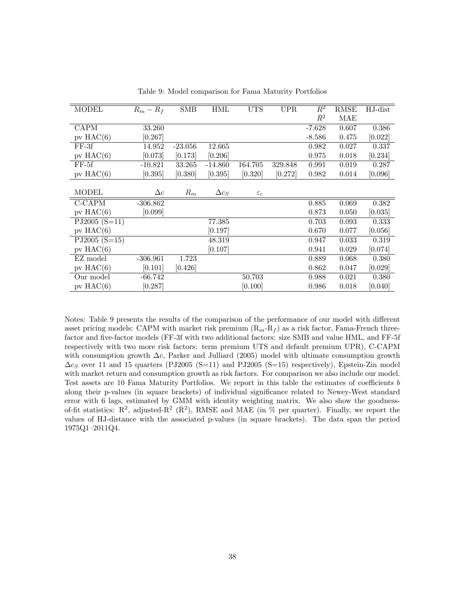| <b>MODEL</b>               | $R_m - R_f$ | <b>SMB</b> | HML          | <b>UTS</b>      | <b>UPR</b> | $R^2$       | <b>RMSE</b> | HJ-dist |
|----------------------------|-------------|------------|--------------|-----------------|------------|-------------|-------------|---------|
|                            |             |            |              |                 |            | $\bar{R}^2$ | MAE         |         |
| <b>CAPM</b>                | 33.260      |            |              |                 |            | $-7.628$    | 0.607       | 0.386   |
| pv $HAC(6)$                | [0.267]     |            |              |                 |            | $-8.586$    | 0.475       | [0.022] |
| $FF-3f$                    | 14.952      | $-23.056$  | 12.665       |                 |            | 0.982       | 0.027       | 0.337   |
| $pv$ HAC $(6)$             | [0.073]     | [0.173]    | [0.206]      |                 |            | 0.975       | 0.018       | [0.234] |
| $FF-5f$                    | $-10.821$   | 33.265     | $-14.860$    | 164.705         | 329.848    | 0.991       | 0.019       | 0.287   |
| pv $HAC(6)$                | [0.395]     | [0.380]    | [0.395]      | [0.320]         | [0.272]    | 0.982       | 0.014       | [0.096] |
|                            |             |            |              |                 |            |             |             |         |
| <b>MODEL</b>               | $\Delta c$  | $R_m$      | $\Delta c_S$ | $\varepsilon_c$ |            |             |             |         |
| C-CAPM                     | $-306.862$  |            |              |                 |            | 0.885       | 0.069       | 0.382   |
| $pv$ HAC $(6)$             | [0.099]     |            |              |                 |            | 0.873       | 0.050       | [0.035] |
| $PJ2005(S=11)$             |             |            | 77.385       |                 |            | 0.703       | 0.093       | 0.333   |
| $pv$ HAC $(6)$             |             |            | [0.197]      |                 |            | 0.670       | 0.077       | [0.056] |
| $\overline{PJ2005}$ (S=15) |             |            | 48.319       |                 |            | 0.947       | 0.033       | 0.319   |
| $pv$ HAC $(6)$             |             |            | [0.107]      |                 |            | 0.941       | 0.029       | [0.074] |
| EZ model                   | $-306.961$  | 1.723      |              |                 |            | 0.889       | 0.068       | 0.380   |
| $pv$ HAC $(6)$             | [0.101]     | [0.426]    |              |                 |            | 0.862       | 0.047       | [0.029] |
| Our model                  | -66.742     |            |              | 50.703          |            | 0.988       | 0.021       | 0.380   |
| $pv$ HAC $(6)$             | [0.287]     |            |              | [0.100]         |            | 0.986       | 0.018       | [0.040] |

Table 9: Model comparison for Fama Maturity Portfolios

Notes: Table 9 presents the results of the comparison of the performance of our model with different asset pricing models: CAPM with market risk premium  $(R_m - R_f)$  as a risk factor, Fama-French threefactor and five-factor models (FF-3f with two additional factors: size SMB and value HML, and FF-5f respectively with two more risk factors: term premium UTS and default premium UPR), C-CAPM with consumption growth  $\Delta c$ , Parker and Julliard (2005) model with ultimate consumption growth  $\Delta c_S$  over 11 and 15 quarters (PJ2005 (S=11) and PJ2005 (S=15) respectively), Epstein-Zin model with market return and consumption growth as risk factors. For comparison we also include our model. Test assets are  $10$  Fama Maturity Portfolios. We report in this table the estimates of coefficients  $b$ along their p-values (in square brackets) of individual significance related to Newey-West standard error with 6 lags, estimated by GMM with identity weighting matrix. We also show the goodnessof-fit statistics:  $R^2$ , adjusted- $R^2$  ( $\bar{R}^2$ ), RMSE and MAE (in  $\%$  per quarter). Finally, we report the values of HJ-distance with the associated p-values (in square brackets). The data span the period  $1975Q1 - 2011Q4.$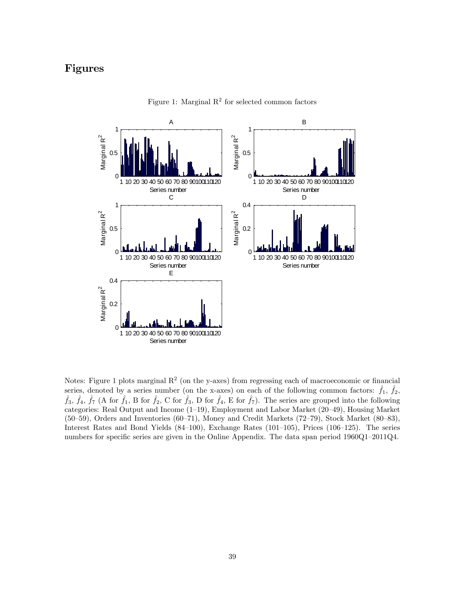# Figures



Figure 1: Marginal  $\mathbb{R}^2$  for selected common factors

Notes: Figure 1 plots marginal  $R^2$  (on the y-axes) from regressing each of macroeconomic or financial series, denoted by a series number (on the x-axes) on each of the following common factors:  $\hat{f}_1$ ,  $\hat{f}_2$ ,  $\hat{f}_3$ ,  $\hat{f}_4$ ,  $\hat{f}_7$  (A for  $\hat{f}_1$ , B for  $\hat{f}_2$ , C for  $\hat{f}_3$ , D for  $\hat{f}_4$ , E for  $\hat{f}_7$ ). The series are grouped into the following categories: Real Output and Income  $(1-19)$ , Employment and Labor Market  $(20-49)$ , Housing Market  $(50-59)$ , Orders and Inventories  $(60-71)$ , Money and Credit Markets  $(72-79)$ , Stock Market  $(80-83)$ , Interest Rates and Bond Yields  $(84–100)$ , Exchange Rates  $(101–105)$ , Prices  $(106–125)$ . The series numbers for specific series are given in the Online Appendix. The data span period  $1960Q1-2011Q4$ .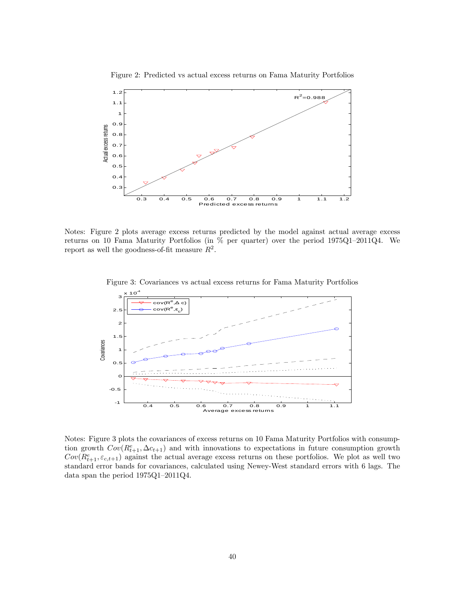

Figure 2: Predicted vs actual excess returns on Fama Maturity Portfolios

Notes: Figure 2 plots average excess returns predicted by the model against actual average excess returns on 10 Fama Maturity Portfolios (in  $\%$  per quarter) over the period 1975Q1-2011Q4. We report as well the goodness-of-fit measure  $R^2$ .



Figure 3: Covariances vs actual excess returns for Fama Maturity Portfolios

Notes: Figure 3 plots the covariances of excess returns on 10 Fama Maturity Portfolios with consumption growth  $Cov(R_{t+1}^e, \Delta c_{t+1})$  and with innovations to expectations in future consumption growth  $Cov(R_{t+1}^e, \varepsilon_{c,t+1})$  against the actual average excess returns on these portfolios. We plot as well two standard error bands for covariances, calculated using Newey-West standard errors with 6 lags. The data span the period  $1975Q1-2011Q4$ .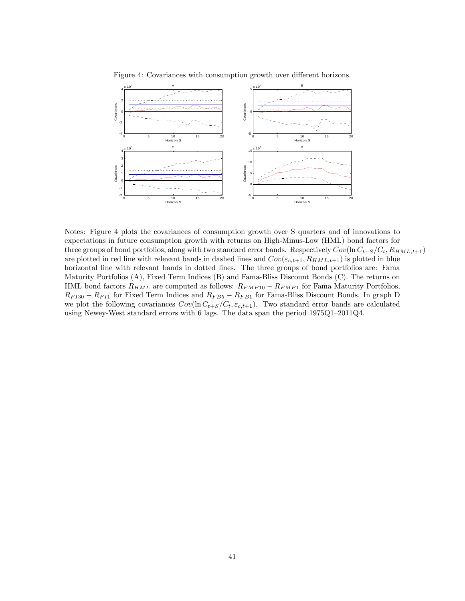

Figure 4: Covariances with consumption growth over different horizons.

Notes: Figure 4 plots the covariances of consumption growth over S quarters and of innovations to expectations in future consumption growth with returns on High-Minus-Low (HML) bond factors for three groups of bond portfolios, along with two standard error bands. Respectively  $Cov(\ln C_{t+S}/C_t, R_{HML,t+1})$ are plotted in red line with relevant bands in dashed lines and  $Cov(\varepsilon_{c,t+1}, R_{HML,t+1})$  is plotted in blue horizontal line with relevant bands in dotted lines. The three groups of bond portfolios are: Fama Maturity Portfolios (A), Fixed Term Indices (B) and Fama-Bliss Discount Bonds (C). The returns on HML bond factors  $R_{HML}$  are computed as follows:  $R_{FMP10} - R_{FMP1}$  for Fama Maturity Portfolios,  $R_{F I30} - R_{F I1}$  for Fixed Term Indices and  $R_{F B5} - R_{F B1}$  for Fama-Bliss Discount Bonds. In graph D we plot the following covariances  $Cov(\ln C_{t+S}/C_t, \varepsilon_{c,t+1})$ . Two standard error bands are calculated using Newey-West standard errors with 6 lags. The data span the period  $1975Q1-2011Q4$ .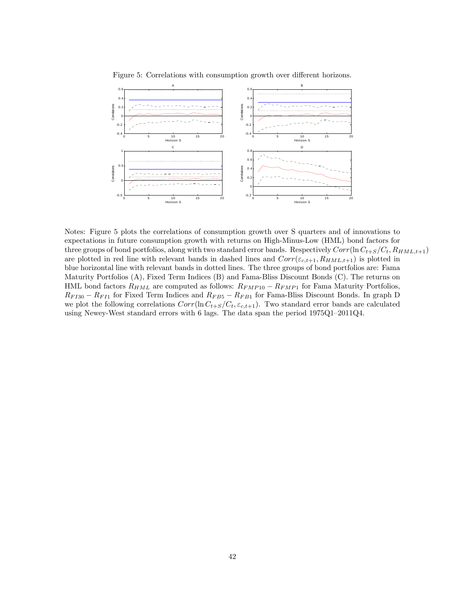

Figure 5: Correlations with consumption growth over different horizons.

Notes: Figure 5 plots the correlations of consumption growth over S quarters and of innovations to expectations in future consumption growth with returns on High-Minus-Low (HML) bond factors for three groups of bond portfolios, along with two standard error bands. Respectively  $Corr(\ln C_{t+S}/C_t, R_{HML,t+1})$ are plotted in red line with relevant bands in dashed lines and  $Corr(\varepsilon_{c,t+1}, R_{HML,t+1})$  is plotted in blue horizontal line with relevant bands in dotted lines. The three groups of bond portfolios are: Fama Maturity Portfolios (A), Fixed Term Indices (B) and Fama-Bliss Discount Bonds (C). The returns on HML bond factors  $R_{HML}$  are computed as follows:  $R_{FMP10} - R_{FMP1}$  for Fama Maturity Portfolios,  $R_{F I30} - R_{F I1}$  for Fixed Term Indices and  $R_{F B5} - R_{F B1}$  for Fama-Bliss Discount Bonds. In graph D we plot the following correlations  $Corr(\ln C_{t+S}/C_t, \varepsilon_{c,t+1})$ . Two standard error bands are calculated using Newey-West standard errors with 6 lags. The data span the period  $1975Q1-2011Q4$ .